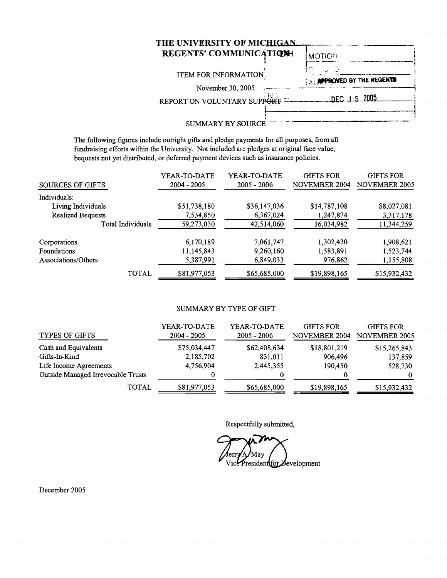| REGENTS' COMMUNICATIONH     | <b>MOTION</b>                     |
|-----------------------------|-----------------------------------|
|                             | i Co                              |
| <b>ITEM FOR INFORMATION</b> | <b>SACAPPROVED BY THE REGENTS</b> |
| November 30, 2005           |                                   |
| REPORT ON VOLUNTARY SUPPORT | DEC. 1.5.2005                     |
|                             |                                   |

The following figures include outright gifts and pledge payments for all purposes, from all fundraising efforts within the University. Not included are pledges at original face value, bequests not yet distributed, or deferred payment devices such as insurance policies.

| SOURCES OF GIFTS    | YEAR-TO-DATE<br>$2004 - 2005$ | YEAR-TO-DATE<br>$2005 - 2006$ | <b>GIFTS FOR</b><br><b>NOVEMBER 2004</b> | <b>GIFTS FOR</b><br>NOVEMBER 2005 |
|---------------------|-------------------------------|-------------------------------|------------------------------------------|-----------------------------------|
| Individuals:        |                               |                               |                                          |                                   |
| Living Individuals  | \$51,738,180                  | \$36,147,036                  | \$14,787,108                             | \$8,027,081                       |
| Realized Bequests   | 7,534,850                     | 6,367,024                     | 1,247,874                                | 3,317,178                         |
| Total Individuals   | 59,273,030                    | 42,514,060                    | 16,034,982                               | 11,344,259                        |
| Corporations        | 6,170,189                     | 7,061,747                     | 1,302,430                                | 1,908,621                         |
| Foundations         | 11,145,843                    | 9,260,160                     | 1,583,891                                | 1,523,744                         |
| Associations/Others | 5,387,991                     | 6,849,033                     | 976,862                                  | 1,155,808                         |
| TOTAL               | \$81,977,053                  | \$65,685,000                  | \$19,898,165                             | \$15,932,432                      |

#### SUMMARY BY TYPE OF GIFT

| <b>TYPES OF GIFTS</b>              | YEAR-TO-DATE<br>$2004 - 2005$ | YEAR-TO-DATE<br>$2005 - 2006$ | <b>GIFTS FOR</b><br><b>NOVEMBER 2004</b> | <b>GIFTS FOR</b><br><b>NOVEMBER 2005</b> |
|------------------------------------|-------------------------------|-------------------------------|------------------------------------------|------------------------------------------|
| Cash and Equivalents               | \$75,034,447                  | \$62,408,634                  | \$18,801,219                             | \$15,265,843                             |
| Gifts-In-Kind                      | 2,185,702                     | 831,011                       | 906,496                                  | 137,859                                  |
| Life Income Agreements             | 4,756,904                     | 2,445,355                     | 190,450                                  | 528,730                                  |
| Outside Managed Irrevocable Trusts |                               |                               |                                          | $\Omega$                                 |
| TOTAL                              | \$81,977,053                  | \$65,685,000                  | \$19,898,165                             | \$15,932,432                             |

Respectfully submitted,

May Jerry Vice President for Development

December 2005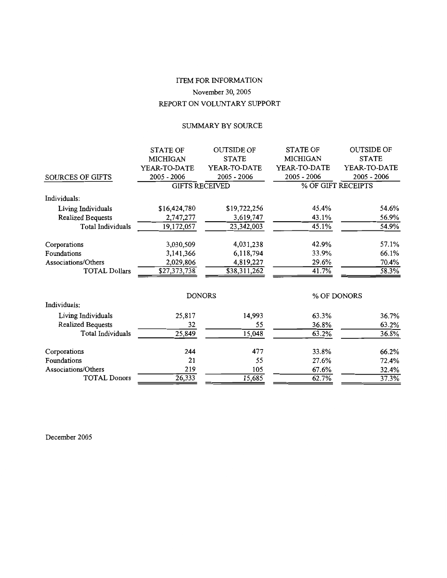## ITEM FOR INFORMATION November 30, 2005 REPORT ON VOLUNTARY SUPPORT

## SUMMARY BY SOURCE

|                         | <b>STATE OF</b> | <b>OUTSIDE OF</b>        | <b>STATE OF</b> | <b>OUTSIDE OF</b>  |
|-------------------------|-----------------|--------------------------|-----------------|--------------------|
|                         | <b>MICHIGAN</b> | <b>STATE</b>             | <b>MICHIGAN</b> | <b>STATE</b>       |
|                         | YEAR-TO-DATE    | YEAR-TO-DATE             | YEAR-TO-DATE    | YEAR-TO-DATE       |
| <b>SOURCES OF GIFTS</b> | 2005 - 2006     | 2005 - 2006              | $2005 - 2006$   | $2005 - 2006$      |
|                         |                 | <b>GIFTS RECEIVED</b>    |                 | % OF GIFT RECEIPTS |
| Individuals:            |                 |                          |                 |                    |
| Living Individuals      | \$16,424,780    | \$19,722,256             | 45.4%           | 54.6%              |
| Realized Bequests       | 2,747,277       | 3,619,747                | 43.1%           | 56.9%              |
| Total Individuals       | 19,172,057      | 23,342,003               | 45.1%           | 54.9%              |
| Corporations            | 3,030,509       | 4,031,238                | 42.9%           | 57.1%              |
| Foundations             | 3,141,366       | 6,118,794                | 33.9%           | 66.1%              |
| Associations/Others     | 2,029,806       | 4,819,227                | 29.6%           | 70.4%              |
| <b>TOTAL Dollars</b>    | \$27,373,738    | $\overline{$}38,311,262$ | 41.7%           | 58.3%              |
|                         |                 |                          |                 |                    |
| Individuals:            |                 | <b>DONORS</b>            |                 | % OF DONORS        |
| Living Individuals      | 25,817          | 14,993                   | 63.3%           | 36.7%              |
| Realized Bequests       | 32              | 55                       | 36.8%           | 63.2%              |
| Total Individuals       | 25,849          | 15,048                   | 63.2%           | 36.8%              |
| Corporations            | 244             | 477                      | 33.8%           | 66.2%              |
| Foundations             | 21              | 55                       | 27.6%           | 72.4%              |
| Associations/Others     | 219             | 105                      | 67.6%           | 32.4%              |
| <b>TOTAL Donors</b>     | 26.333          | 15.685                   | 62.7%           | 37.3%              |

December 2005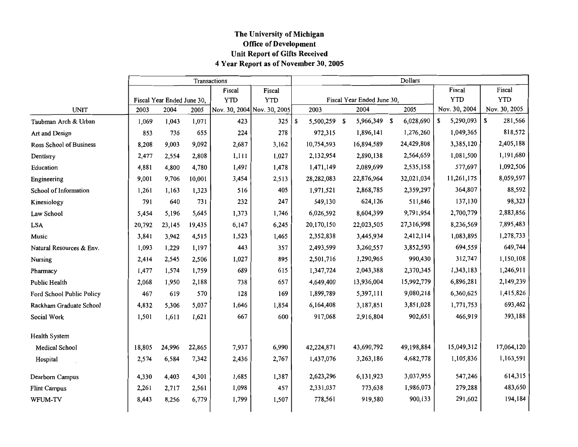### The University of Michigan **Office of Development** Unit Report of Gifts Received 4 Year Report as of November 30, 2005

|                                |        | Transactions               | Dollars |                             |            |   |              |  |                            |  |            |                |               |
|--------------------------------|--------|----------------------------|---------|-----------------------------|------------|---|--------------|--|----------------------------|--|------------|----------------|---------------|
|                                |        |                            |         | Fiscal                      | Fiscal     |   |              |  |                            |  |            | Fiscal         | Fiscal        |
|                                |        | Fiscal Year Ended June 30, |         | <b>YTD</b>                  | <b>YTD</b> |   |              |  | Fiscal Year Ended June 30, |  |            | <b>YTD</b>     | <b>YTD</b>    |
| <b>UNIT</b>                    | 2003   | 2004                       | 2005    | Nov. 30, 2004 Nov. 30, 2005 |            |   | 2003         |  | 2004                       |  | 2005       | Nov. 30, 2004  | Nov. 30, 2005 |
| Taubman Arch & Urban           | 1,069  | 1,043                      | 1,071   | 423                         | 325        | S | 5,500,259 \$ |  | 5,966,349 \$               |  | 6,028,690  | 5,290,093<br>S | 281,566<br>S  |
| Art and Design                 | 853    | 736                        | 655     | 224                         | 278        |   | 972,315      |  | 1,896,141                  |  | 1,276,260  | 1,049,365      | 818,572       |
| <b>Ross School of Business</b> | 8,208  | 9,003                      | 9,092   | 2,687                       | 3,162      |   | 10,754,593   |  | 16,894,589                 |  | 24,429,808 | 3,385,120      | 2,405,188     |
| Dentistry                      | 2,477  | 2,554                      | 2,808   | 1,111                       | 1,027      |   | 2,132,954    |  | 2,890,138                  |  | 2,564,659  | 1,081,500      | 1,191,680     |
| Education                      | 4,881  | 4,800                      | 4,780   | 1,491                       | 1,478      |   | 1,471,149    |  | 2,089,699                  |  | 2,535,158  | 577,697        | 1,092,506     |
| Engineering                    | 9,001  | 9,706                      | 10,001  | 3,454                       | 2,513      |   | 28,282,083   |  | 22,876,964                 |  | 32,021,034 | 11,261,175     | 8,059,597     |
| School of Information          | 1,261  | 1,163                      | 1,323   | 516                         | 405        |   | 1,971,521    |  | 2,868,785                  |  | 2,359,297  | 364,807        | 88,592        |
| Kinesiology                    | 791    | 640                        | 731     | 232                         | 247        |   | 549,130      |  | 624,126                    |  | 511,846    | 137,130        | 98,323        |
| Law School                     | 5,454  | 5,196                      | 5,645   | 1,373                       | 1,746      |   | 6,026,592    |  | 8,604,399                  |  | 9,791,954  | 2,700,779      | 2,883,856     |
| <b>LSA</b>                     | 20,792 | 23,145                     | 19,435  | 6,147                       | 6,245      |   | 20,170,150   |  | 22,023,505                 |  | 27,316,998 | 8,236,569      | 7,895,483     |
| Music                          | 3,841  | 3,942                      | 4,515   | 1,523                       | 1,465      |   | 2,352,838    |  | 3,445,934                  |  | 2,412,114  | 1,083,895      | 1,278,733     |
| Natural Resources & Env.       | 1,093  | 1,229                      | 1,197   | 443                         | 357        |   | 2,493,599    |  | 3,260,557                  |  | 3,852,593  | 694,559        | 649,744       |
| Nursing                        | 2,414  | 2,545                      | 2,506   | 1,027                       | 895        |   | 2,501,716    |  | 1,290,965                  |  | 990,430    | 312,747        | 1,150,108     |
| Pharmacy                       | 1,477  | 1,574                      | 1,759   | 689                         | 615        |   | 1,347,724    |  | 2,043,388                  |  | 2,370,345  | 1,343,183      | 1,246,911     |
| Public Health                  | 2,068  | 1,950                      | 2,188   | 738                         | 657        |   | 4,649,400    |  | 13,936,004                 |  | 15,992,779 | 6,896,281      | 2,149,239     |
| Ford School Public Policy      | 467    | 619                        | 570     | 128                         | 169        |   | 1,899,789    |  | 5,397,111                  |  | 9,080,218  | 6,360,625      | 1,415,826     |
| Rackham Graduate School        | 4,832  | 5,306                      | 5,037   | 1,646                       | 1,854      |   | 6,164,408    |  | 3,187,851                  |  | 3,851,028  | 1,771,753      | 693,462       |
| Social Work                    | 1,501  | 1,611                      | 1,621   | 667                         | 600        |   | 917,068      |  | 2,916,804                  |  | 902,651    | 466,919        | 393,188       |
| Health System                  |        |                            |         |                             |            |   |              |  |                            |  |            |                |               |
| <b>Medical School</b>          | 18,805 | 24,996                     | 22,865  | 7,937                       | 6,990      |   | 42,224,871   |  | 43,690,792                 |  | 49,198,884 | 15,049,312     | 17,064,120    |
| Hospital                       | 2,574  | 6,584                      | 7,342   | 2,436                       | 2,767      |   | 1,437,076    |  | 3,263,186                  |  | 4,682,778  | 1,105,836      | 1,163,591     |
| Dearborn Campus                | 4,330  | 4,403                      | 4,301   | 1,685                       | 1,387      |   | 2,623,296    |  | 6,131,923                  |  | 3,037,955  | 547,246        | 614,315       |
| <b>Flint Campus</b>            | 2,261  | 2,717                      | 2,561   | 1,098                       | 457        |   | 2,331,037    |  | 773,638                    |  | 1,986,073  | 279,288        | 483,650       |
| WFUM-TV                        | 8,443  | 8,256                      | 6,779   | 1,799                       | 1,507      |   | 778,561      |  | 919,580                    |  | 900,133    | 291,602        | 194,184       |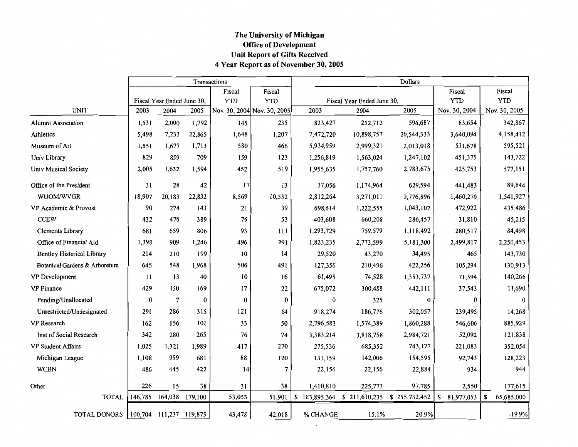### The University of Michigan **Office of Development** Unit Report of Gifts Received 4 Year Report as of November 30, 2005

|                                   |                  |                            |          | Transactions |                             | Dollars   |                                           |            |                  |                  |  |  |  |  |
|-----------------------------------|------------------|----------------------------|----------|--------------|-----------------------------|-----------|-------------------------------------------|------------|------------------|------------------|--|--|--|--|
|                                   |                  |                            |          | Fiscal       | Fiscal                      |           |                                           |            | Fiscal           | Fiscal           |  |  |  |  |
|                                   |                  | Fiscal Year Ended June 30, |          | <b>YTD</b>   | <b>YTD</b>                  |           | Fiscal Year Ended June 30,                |            | <b>YTD</b>       | <b>YTD</b>       |  |  |  |  |
| <b>UNIT</b>                       | 2003             | 2004                       | 2005     |              | Nov. 30, 2004 Nov. 30, 2005 | 2003      | 2004                                      | 2005       | Nov. 30, 2004    | Nov. 30, 2005    |  |  |  |  |
| <b>Alumni Association</b>         | 1,531            | 2,000                      | 1,792    | 145          | 235                         | 823,427   | 252,712                                   | 596,687    | 83,654           | 342,867          |  |  |  |  |
| Athletics                         | 5,498            | 7,233                      | 22,865   | 1,648        | 1,207                       | 7,472,720 | 10,898,757                                | 20,544,333 | 3,640,094        | 4,158,412        |  |  |  |  |
| Museum of Art                     | 1,551            | 1,677                      | 1,713    | 580          | 466                         | 5,934,959 | 2,999,321                                 | 2,013,018  | 531,678          | 595,521          |  |  |  |  |
| Univ Library                      | 829              | 859                        | 709      | 159          | 123                         | 1,256,819 | 1,563,024                                 | 1,247,102  | 451,375          | 143,722          |  |  |  |  |
| Univ Musical Society              | 2,005            | 1,632                      | 1,594    | 452          | 519                         | 1,955,635 | 1,757,760                                 | 2,783,675  | 425,753          | 577,151          |  |  |  |  |
| Office of the President           | 31               | 28                         | 42       | 17           | 13                          | 37,056    | 1,174,964                                 | 629,594    | 441,483          | 89,844           |  |  |  |  |
| WUOM/WVGR                         | 18,907           | 20,183                     | 22,832   | 8,569        | 10,532                      | 2,812,264 | 3,271,011                                 | 3,776,896  | 1,460,270        | 1,541,927        |  |  |  |  |
| VP Academic & Provost             | 90               | 274                        | 143      | 21           | 39                          | 698,614   | 1,222,555                                 | 1,043,107  | 472,922          | 435,486          |  |  |  |  |
| <b>CCEW</b>                       | 432              | 476                        | 389      | 76           | 53                          | 403,608   | 660,208                                   | 286,457    | 31,810           | 45,215           |  |  |  |  |
| <b>Clements Library</b>           | 681              | 659                        | 806      | 93           | 111                         | 1,293,729 | 759,579                                   | 1,118,492  | 280,517          | 84,498           |  |  |  |  |
| Office of Financial Aid           | 1,398            | 909                        | 1,246    | 496          | 291                         | 1,823,235 | 2,773,599                                 | 5,181,300  | 2,499,817        | 2,250,453        |  |  |  |  |
| <b>Bentley Historical Library</b> | 214              | 210                        | 199      | 10           | 14                          | 29,520    | 43,270                                    | 34,495     | 465              | 143,730          |  |  |  |  |
| Botanical Gardens & Arboretum     | 645              | 548                        | 1,968    | 506          | 491                         | 127,350   | 210,496                                   | 422,256    | 105,294          | 130,913          |  |  |  |  |
| VP Development                    | 11               | 13                         | 40       | 10           | 16                          | 61,495    | 74,528                                    | 1,353,737  | 71,394           | 140,266          |  |  |  |  |
| <b>VP</b> Finance                 | 429              | 150                        | 169      | 17           | 22                          | 675,072   | 300,488                                   | 442,111    | 37,543           | 11,690           |  |  |  |  |
| Pending/Unallocated               | $\boldsymbol{0}$ | $\overline{7}$             | $\bf{0}$ | $\bf{0}$     | $\bf{0}$                    | $\bf{0}$  | 325                                       | $\bf{0}$   | $\bf{0}$         | $\bf{0}$         |  |  |  |  |
| Unrestricted/Undesignated         | 291              | 286                        | 315      | 121          | 64                          | 918,274   | 186,776                                   | 302,057    | 239,495          | 14,268           |  |  |  |  |
| VP Research                       | 162              | 156                        | 101      | 33           | 50                          | 2,796,583 | 1,574,389                                 | 1,860,288  | 546,606          | 885,929          |  |  |  |  |
| Inst of Social Research           | 342              | 280                        | 265      | 76           | 74                          | 3,383,214 | 3,818,758                                 | 2,984,721  | 52,092           | 121,838          |  |  |  |  |
| <b>VP Student Affairs</b>         | 1,025            | 1.321                      | 1,989    | 417          | 270                         | 275,536   | 685,352                                   | 743,177    | 221,083          | 352,054          |  |  |  |  |
| Michigan League                   | 1,108            | 959                        | 681      | 88           | 120                         | 131,159   | 142,006                                   | 154,595    | 92,743           | 128,223          |  |  |  |  |
| <b>WCBN</b>                       | 486              | 445                        | 422      | 14           | $\overline{7}$              | 22,156    | 22,156                                    | 22,884     | 934              | 944              |  |  |  |  |
| Other                             | 226              | 15                         | 38       | 31           | 38                          | 1,410,810 | 225,773                                   | 97,785     | 2,550            | 177,615          |  |  |  |  |
| <b>TOTAL</b>                      | 146,785          | 164,038                    | 179,100  | 53,053       | 51,901                      |           | \$183,895,364 \$211,610,235 \$255,732,452 |            | 81,977,053<br>\$ | \$<br>65,685,000 |  |  |  |  |
| TOTAL DONORS                      |                  | 100,704 111,237 119,875    |          | 43,478       | 42,018                      | % CHANGE  | 15.1%                                     | 20.9%      |                  | $-19.9%$         |  |  |  |  |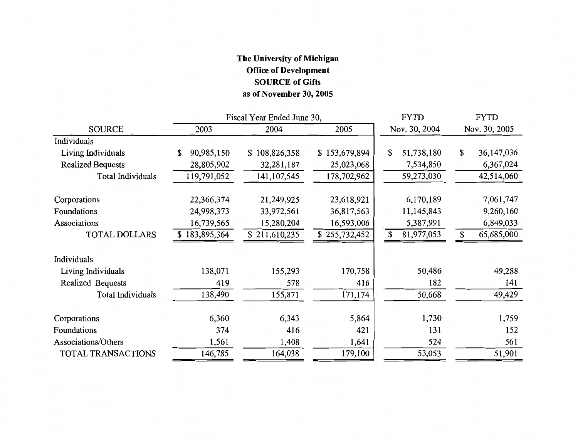## The University of Michigan **Office of Development SOURCE of Gifts** as of November 30, 2005

|                          |                 | Fiscal Year Ended June 30, | <b>FYTD</b>   | <b>FYTD</b>      |                  |
|--------------------------|-----------------|----------------------------|---------------|------------------|------------------|
| <b>SOURCE</b>            | 2003            | 2004                       | 2005          | Nov. 30, 2004    | Nov. 30, 2005    |
| Individuals              |                 |                            |               |                  |                  |
| Living Individuals       | 90,985,150<br>S | 108,826,358<br>S.          | \$153,679,894 | 51,738,180<br>\$ | \$<br>36,147,036 |
| <b>Realized Bequests</b> | 28,805,902      | 32,281,187                 | 25,023,068    | 7,534,850        | 6,367,024        |
| Total Individuals        | 119,791,052     | 141, 107, 545              | 178,702,962   | 59,273,030       | 42,514,060       |
| Corporations             | 22,366,374      | 21,249,925                 | 23,618,921    | 6,170,189        | 7,061,747        |
| Foundations              | 24,998,373      | 33,972,561                 | 36,817,563    | 11,145,843       | 9,260,160        |
| Associations             | 16,739,565      | 15,280,204                 | 16,593,006    | 5,387,991        | 6,849,033        |
| <b>TOTAL DOLLARS</b>     | 183,895,364     | \$211,610,235              | \$255,732,452 | \$<br>81,977,053 | \$<br>65,685,000 |
| Individuals              |                 |                            |               |                  |                  |
| Living Individuals       | 138,071         | 155,293                    | 170,758       | 50,486           | 49,288           |
| Realized Bequests        | 419             | 578                        | 416           | 182              | 141              |
| <b>Total Individuals</b> | 138,490         | 155,871                    | 171,174       | 50,668           | 49,429           |
| Corporations             | 6,360           | 6,343                      | 5,864         | 1,730            | 1,759            |
| Foundations              | 374             | 416                        | 421           | 131              | 152              |
| Associations/Others      | 1,561           | 1,408                      | 1,641         | 524              | 561              |
| TOTAL TRANSACTIONS       | 146,785         | 164,038                    | 179,100       | 53,053           | 51,901           |

 $\sim$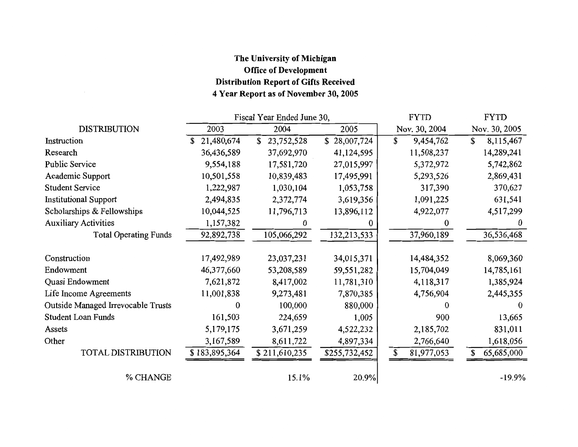## The University of Michigan **Office of Development Distribution Report of Gifts Received** 4 Year Report as of November 30, 2005

|                                    |               | Fiscal Year Ended June 30, |               | <b>FYTD</b>      | <b>FYTD</b>      |  |  |
|------------------------------------|---------------|----------------------------|---------------|------------------|------------------|--|--|
| <b>DISTRIBUTION</b>                | 2003          | 2004                       | 2005          | Nov. 30, 2004    | Nov. 30, 2005    |  |  |
| Instruction                        | 21,480,674    | \$<br>23,752,528           | \$28,007,724  | \$<br>9,454,762  | \$<br>8,115,467  |  |  |
| Research                           | 36,436,589    | 37,692,970                 | 41,124,595    | 11,508,237       | 14,289,241       |  |  |
| <b>Public Service</b>              | 9,554,188     | 17,581,720                 | 27,015,997    | 5,372,972        | 5,742,862        |  |  |
| Academic Support                   | 10,501,558    | 10,839,483                 | 17,495,991    | 5,293,526        | 2,869,431        |  |  |
| <b>Student Service</b>             | 1,222,987     | 1,030,104                  | 1,053,758     | 317,390          | 370,627          |  |  |
| <b>Institutional Support</b>       | 2,494,835     | 2,372,774                  | 3,619,356     | 1,091,225        | 631,541          |  |  |
| Scholarships & Fellowships         | 10,044,525    | 11,796,713                 | 13,896,112    | 4,922,077        | 4,517,299        |  |  |
| <b>Auxiliary Activities</b>        | 1,157,382     | 0                          | 0             | 0                | $\theta$         |  |  |
| <b>Total Operating Funds</b>       | 92,892,738    | 105,066,292                | 132,213,533   | 37,960,189       | 36,536,468       |  |  |
| Construction                       | 17,492,989    | 23,037,231                 | 34,015,371    | 14,484,352       | 8,069,360        |  |  |
| Endowment                          | 46,377,660    | 53,208,589                 | 59,551,282    | 15,704,049       | 14,785,161       |  |  |
| Quasi Endowment                    | 7,621,872     | 8,417,002                  | 11,781,310    | 4,118,317        | 1,385,924        |  |  |
| Life Income Agreements             | 11,001,838    | 9,273,481                  | 7,870,385     | 4,756,904        | 2,445,355        |  |  |
| Outside Managed Irrevocable Trusts | $\theta$      | 100,000                    | 880,000       | 0                | $_{0}$           |  |  |
| <b>Student Loan Funds</b>          | 161,503       | 224,659                    | 1,005         | 900              | 13,665           |  |  |
| Assets                             | 5,179,175     | 3,671,259                  | 4,522,232     | 2,185,702        | 831,011          |  |  |
| Other                              | 3,167,589     | 8,611,722                  | 4,897,334     | 2,766,640        | 1,618,056        |  |  |
| <b>TOTAL DISTRIBUTION</b>          | \$183,895,364 | \$211,610,235              | \$255,732,452 | \$<br>81,977,053 | 65,685,000<br>\$ |  |  |
| % CHANGE                           |               | 15.1%                      | 20.9%         |                  | $-19.9%$         |  |  |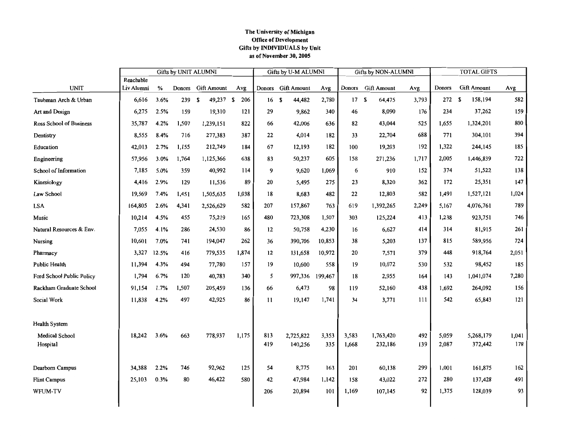#### The University of Michigan **Office of Development** Gifts by INDIVIDUALS by Unit as of November 30, 2005

|                            | Gifts by UNIT ALUMNI    |       |        |                    |       |            | Gifts by U-M ALUMNI  |              |                | Gifts by NON-ALUMNI  |            | <b>TOTAL GIFTS</b> |                      |              |
|----------------------------|-------------------------|-------|--------|--------------------|-------|------------|----------------------|--------------|----------------|----------------------|------------|--------------------|----------------------|--------------|
| <b>UNIT</b>                | Reachable<br>Liv Alumni | $\%$  | Donors | <b>Gift Amount</b> | Avg   |            | Donors Gift Amount   | Avg          | Donors         | <b>Gift Amount</b>   | Avg        | <b>Donors</b>      | <b>Gift Amount</b>   | Avg          |
| Taubman Arch & Urban       | 6,616                   | 3.6%  | 239    | 49,237 \$<br>- \$  | 206   | 16S        | 44,482               | 2,780        | 17S            | 64,475               | 3,793      | 272S               | 158,194              | 582          |
| Art and Design             | 6,275                   | 2.5%  | 159    | 19,310             | 121   | 29         | 9,862                | 340          | 46             | 8,090                | 176        | 234                | 37,262               | 159          |
| Ross School of Business    | 35,787                  | 4.2%  | 1,507  | 1,239,151          | 822   | 66         | 42,006               | 636          | 82             | 43,044               | 525        | 1,655              | 1,324,201            | 800          |
| Dentistry                  | 8,555                   | 8.4%  | 716    | 277,383            | 387   | 22         | 4,014                | 182          | 33             | 22,704               | 688        | 771                | 304,101              | 394          |
| Education                  | 42,013                  | 2.7%  | 1,155  | 212,749            | 184   | 67         | 12,193               | 182          | 100            | 19,203               | 192        | 1,322              | 244,145              | 185          |
| Engineering                | 57,956                  | 3.0%  | 1,764  | 1,125,366          | 638   | 83         | 50,237               | 605          | 158            | 271,236              | 1,717      | 2,005              | 1,446,839            | 722          |
| School of Information      | 7,185                   | 5.0%  | 359    | 40,992             | 114   | 9          | 9,620                | 1,069        | 6              | 910                  | 152        | 374                | 51,522               | 138          |
| Kinesiology                | 4,416                   | 2.9%  | 129    | 11,536             | 89    | 20         | 5,495                | 275          | 23             | 8,320                | 362        | 172                | 25,351               | 147          |
| Law School                 | 19,569                  | 7.4%  | 1,451  | 1,505,635          | 1,038 | 18         | 8,683                | 482          | 22             | 12,803               | 582        | 1,491              | 1,527,121            | 1,024        |
| <b>LSA</b>                 | 164,805                 | 2.6%  | 4,341  | 2,526,629          | 582   | 207        | 157,867              | 763          | 619            | 1,392,265            | 2,249      | 5,167              | 4,076,761            | 789          |
| Music                      | 10,214                  | 4.5%  | 455    | 75,219             | 165   | 480        | 723,308              | 1,507        | 303            | 125,224              | 413        | 1,238              | 923,751              | 746          |
| Natural Resources & Env.   | 7,055                   | 4.1%  | 286    | 24,530             | 86    | 12         | 50,758               | 4,230        | 16             | 6,627                | 414        | 314                | 81,915               | 261          |
| Nursing                    | 10,601                  | 7.0%  | 741    | 194,047            | 262   | 36         | 390,706              | 10,853       | 38             | 5,203                | 137        | 815                | 589,956              | 724          |
| Pharmacy                   | 3,327                   | 12.5% | 416    | 779,535            | 1,874 | 12         | 131,658              | 10,972       | 20             | 7,571                | 379        | 448                | 918,764              | 2,051        |
| Public Health              | 11,394                  | 4.3%  | 494    | 77,780             | 157   | 19         | 10,600               | 558          | 19             | 10,072               | 530        | 532                | 98,452               | 185          |
| Ford School Public Policy  | 1,794                   | 6.7%  | 120    | 40,783             | 340   | 5          | 997,336              | 199,467      | 18             | 2,955                | 164        | 143                | 1,041,074            | 7,280        |
| Rackham Graduate School    | 91,154                  | 1.7%  | 1,507  | 205,459            | 136   | 66         | 6,473                | 98           | 119            | 52,160               | 438        | 1,692              | 264,092              | 156          |
| Social Work                | 11,838                  | 4.2%  | 497    | 42,925             | 86    | 11         | 19,147               | 1,741        | 34             | 3,771                | 111        | 542                | 65,843               | 121          |
| <b>Health System</b>       |                         |       |        |                    |       |            |                      |              |                |                      |            |                    |                      |              |
| Medical School<br>Hospital | 18,242                  | 3.6%  | 663    | 778,937            | 1,175 | 813<br>419 | 2,725,822<br>140,256 | 3,353<br>335 | 3.583<br>1,668 | 1,763,420<br>232,186 | 492<br>139 | 5,059<br>2,087     | 5,268,179<br>372,442 | 1,041<br>178 |
| Dearborn Campus            | 34,388                  | 2.2%  | 746    | 92,962             | 125   | 54         | 8,775                | 163          | 201            | 60,138               | 299        | 1,001              | 161,875              | 162          |
| <b>Flint Campus</b>        | 25,103                  | 0.3%  | 80     | 46,422             | 580   | 42         | 47,984               | 1,142        | 158            | 43,022               | 272        | 280                | 137,428              | 491          |
| WFUM-TV                    |                         |       |        |                    |       | 206        | 20,894               | 101          | 1,169          | 107,145              | 92         | 1,375              | 128,039              | 93           |
|                            |                         |       |        |                    |       |            |                      |              |                |                      |            |                    |                      |              |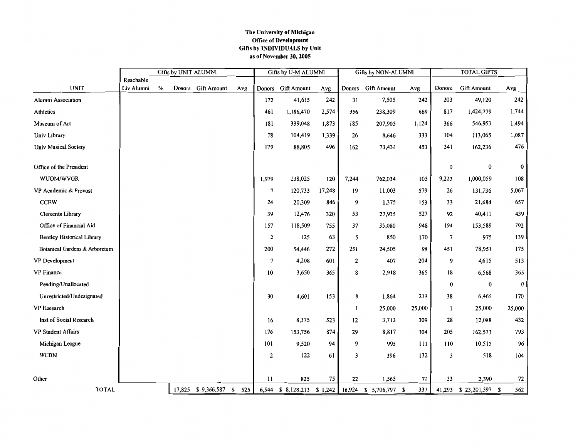#### The University of Michigan Office of Development Gifts by INDIVIDUALS by Unit as of November 30, 2005

|                                   | <b>Gifts by UNIT ALUMNI</b> |   |        |                       |     | Gifts by U-M ALUMNI |                    |        | <b>Gifts by NON-ALUMNI</b> |                                                      | <b>TOTAL GIFTS</b> |                |                    |          |
|-----------------------------------|-----------------------------|---|--------|-----------------------|-----|---------------------|--------------------|--------|----------------------------|------------------------------------------------------|--------------------|----------------|--------------------|----------|
| <b>UNIT</b>                       | Reachable<br>Liv Alumni     | % | Donors | <b>Gift Amount</b>    | Avg |                     | Donors Gift Amount | Avg    | Donors                     | <b>Gift Amount</b>                                   | Avg                | <b>Donors</b>  | <b>Gift Amount</b> | Avg      |
| Alumni Association                |                             |   |        |                       |     | 172                 | 41,615             | 242    | 31                         | 7,505                                                | 242                | 203            | 49,120             | 242      |
| Athletics                         |                             |   |        |                       |     | 461                 | 1,186,470          | 2,574  | 356                        | 238,309                                              | 669                | 817            | 1,424,779          | 1,744    |
| Museum of Art                     |                             |   |        |                       |     | 181                 | 339,048            | 1,873  | 185                        | 207,905                                              | 1,124              | 366            | 546,953            | 1,494    |
| Univ Library                      |                             |   |        |                       |     | 78                  | 104,419            | 1,339  | 26                         | 8,646                                                | 333                | 104            | 113,065            | 1,087    |
| <b>Univ Musical Society</b>       |                             |   |        |                       |     | 179                 | 88,805             | 496    | 162                        | 73,431                                               | 453                | 341            | 162,236            | 476      |
| Office of the President           |                             |   |        |                       |     |                     |                    |        |                            |                                                      |                    | $\bf{0}$       | $\bf{0}$           | 0        |
| WUOM/WVGR                         |                             |   |        |                       |     | 1,979               | 238,025            | 120    | 7,244                      | 762,034                                              | 105                | 9,223          | 1,000,059          | 108      |
| VP Academic & Provost             |                             |   |        |                       |     | 7                   | 120,733            | 17,248 | 19                         | 11,003                                               | 579                | 26             | 131,736            | 5,067    |
| <b>CCEW</b>                       |                             |   |        |                       |     | 24                  | 20,309             | 846    | 9                          | 1,375                                                | 153                | 33             | 21,684             | 657      |
| Clements Library                  |                             |   |        |                       |     | 39                  | 12,476             | 320    | 53                         | 27,935                                               | 527                | 92             | 40,411             | 439      |
| Office of Financial Aid           |                             |   |        |                       |     | 157                 | 118,509            | 755    | 37                         | 35,080                                               | 948                | 194            | 153,589            | 792      |
| <b>Bentley Historical Library</b> |                             |   |        |                       |     | $\overline{2}$      | 125                | 63     | 5                          | 850                                                  | 170                | $\overline{7}$ | 975                | 139      |
| Botanical Gardens & Arboretum     |                             |   |        |                       |     | 200                 | 54,446             | 272    | 251                        | 24,505                                               | 98                 | 451            | 78,951             | 175      |
| VP Development                    |                             |   |        |                       |     | 7                   | 4,208              | 601    | 2                          | 407                                                  | 204                | 9              | 4,615              | 513      |
| <b>VP</b> Finance                 |                             |   |        |                       |     | 10                  | 3,650              | 365    | 8                          | 2,918                                                | 365                | 18             | 6,568              | 365      |
| Pending/Unallocated               |                             |   |        |                       |     |                     |                    |        |                            |                                                      |                    | 0              | $\bf{0}$           | $\bf{0}$ |
| Unrestricted/Undesignated         |                             |   |        |                       |     | 30                  | 4,601              | 153    | 8                          | 1,864                                                | 233                | 38             | 6,465              | 170      |
| VP Research                       |                             |   |        |                       |     |                     |                    |        | 1                          | 25,000                                               | 25,000             | 1              | 25,000             | 25,000   |
| Inst of Social Research           |                             |   |        |                       |     | 16                  | 8,375              | 523    | 12                         | 3,713                                                | 309                | 28             | 12,088             | 432      |
| VP Student Affairs                |                             |   |        |                       |     | 176                 | 153,756            | 874    | 29                         | 8,817                                                | 304                | 205            | 162,573            | 793      |
| Michigan League                   |                             |   |        |                       |     | 101                 | 9,520              | 94     | 9                          | 995                                                  | 111                | 110            | 10,515             | 96       |
| <b>WCBN</b>                       |                             |   |        |                       |     | $\mathbf{2}$        | 122                | 61     | 3                          | 396                                                  | 132                | 5              | 518                | 104      |
|                                   |                             |   |        |                       |     |                     |                    |        |                            |                                                      |                    |                |                    |          |
| Other                             |                             |   |        |                       |     | 11                  | 825                | 75     | 22                         | 1,565                                                | 71                 | 33             | 2,390              | 72       |
| <b>TOTAL</b>                      |                             |   |        | 17,825 \$9,366,587 \$ | 525 |                     |                    |        |                            | 6,544 \$ 8,128,213 \$ 1,242   16,924 \$ 5,706,797 \$ | 337                | 41,293         | $$23,201,597$ \;   | 562      |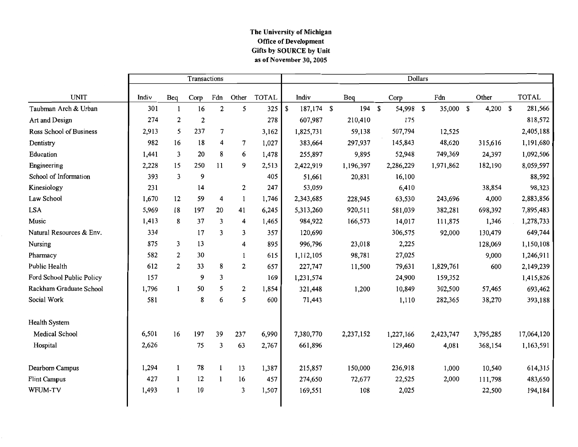#### The University of Michigan **Office of Development** Gifts by SOURCE by Unit as of November 30, 2005

|                           | Transactions |     |                  |                |       |              | Dollars          |  |           |             |           |    |           |    |           |    |              |
|---------------------------|--------------|-----|------------------|----------------|-------|--------------|------------------|--|-----------|-------------|-----------|----|-----------|----|-----------|----|--------------|
| <b>UNIT</b>               | Indiv        | Beq | Corp             | Fdn            | Other | <b>TOTAL</b> | Indiv            |  | Beq       |             | Corp      |    | Fdn       |    | Other     |    | <b>TOTAL</b> |
| Taubman Arch & Urban      | 301          | 1   | 16               | $\mathbf{2}$   | 5     | 325          | \$<br>187,174 \$ |  | 194       | $\mathbf S$ | 54,998    | \$ | 35,000    | \$ | 4,200     | \$ | 281,566      |
| Art and Design            | 274          | 2   | $\boldsymbol{2}$ |                |       | 278          | 607,987          |  | 210,410   |             | 175       |    |           |    |           |    | 818,572      |
| Ross School of Business   | 2,913        | 5   | 237              | $\overline{7}$ |       | 3,162        | 1,825,731        |  | 59,138    |             | 507,794   |    | 12,525    |    |           |    | 2,405,188    |
| Dentistry                 | 982          | 16  | 18               | 4              | 7     | 1,027        | 383,664          |  | 297,937   |             | 145,843   |    | 48,620    |    | 315,616   |    | 1,191,680    |
| Education                 | 1,441        | 3   | 20               | 8              | 6     | 1,478        | 255,897          |  | 9,895     |             | 52,948    |    | 749,369   |    | 24,397    |    | 1,092,506    |
| Engineering               | 2,228        | 15  | 250              | 11             | 9     | 2,513        | 2,422,919        |  | 1,196,397 |             | 2,286,229 |    | 1,971,862 |    | 182,190   |    | 8,059,597    |
| School of Information     | 393          | 3   | 9                |                |       | 405          | 51,661           |  | 20,831    |             | 16,100    |    |           |    |           |    | 88,592       |
| Kinesiology               | 231          |     | 14               |                | 2     | 247          | 53,059           |  |           |             | 6,410     |    |           |    | 38,854    |    | 98,323       |
| Law School                | 1,670        | 12  | 59               | 4              | 1     | 1,746        | 2,343,685        |  | 228,945   |             | 63,530    |    | 243,696   |    | 4,000     |    | 2,883,856    |
| <b>LSA</b>                | 5,969        | 18  | 197              | 20             | 41    | 6,245        | 5,313,260        |  | 920,511   |             | 581,039   |    | 382,281   |    | 698,392   |    | 7,895,483    |
| Music                     | 1,413        | 8   | 37               | 3              | 4     | 1,465        | 984,922          |  | 166,573   |             | 14,017    |    | 111,875   |    | 1,346     |    | 1,278,733    |
| Natural Resources & Env.  | 334          |     | 17               | 3              | 3     | 357          | 120,690          |  |           |             | 306,575   |    | 92,000    |    | 130,479   |    | 649,744      |
| Nursing                   | 875          | 3   | 13               |                | 4     | 895          | 996,796          |  | 23,018    |             | 2,225     |    |           |    | 128,069   |    | 1,150,108    |
| Pharmacy                  | 582          | 2   | 30               |                | 1     | 615          | 1,112,105        |  | 98,781    |             | 27,025    |    |           |    | 9,000     |    | 1,246,911    |
| Public Health             | 612          | 2   | 33               | 8              | 2     | 657          | 227,747          |  | 11,500    |             | 79,631    |    | 1,829,761 |    | 600       |    | 2,149,239    |
| Ford School Public Policy | 157          |     | 9                | 3              |       | 169          | 1,231,574        |  |           |             | 24,900    |    | 159,352   |    |           |    | 1,415,826    |
| Rackham Graduate School   | 1,796        | 1   | 50               | 5              | 2     | 1,854        | 321,448          |  | 1,200     |             | 10,849    |    | 302,500   |    | 57,465    |    | 693,462      |
| Social Work               | 581          |     | 8                | 6              | 5     | 600          | 71,443           |  |           |             | 1,110     |    | 282,365   |    | 38,270    |    | 393,188      |
| <b>Health System</b>      |              |     |                  |                |       |              |                  |  |           |             |           |    |           |    |           |    |              |
| Medical School            | 6,501        | 16  | 197              | 39             | 237   | 6,990        | 7,380,770        |  | 2,237,152 |             | 1,227,166 |    | 2,423,747 |    | 3,795,285 |    | 17,064,120   |
| Hospital                  | 2,626        |     | 75               | 3              | 63    | 2,767        | 661,896          |  |           |             | 129,460   |    | 4,081     |    | 368,154   |    | 1,163,591    |
| Dearborn Campus           | 1,294        |     | 78               | 1              | 13    | 1,387        | 215,857          |  | 150,000   |             | 236,918   |    | 1,000     |    | 10,540    |    | 614,315      |
| <b>Flint Campus</b>       | 427          | 1   | 12               | $\mathbf{1}$   | 16    | 457          | 274,650          |  | 72,677    |             | 22,525    |    | 2,000     |    | 111,798   |    | 483,650      |
| WFUM-TV                   | 1,493        |     | 10               |                | 3     | 1,507        | 169,551          |  | 108       |             | 2,025     |    |           |    | 22,500    |    | 194,184      |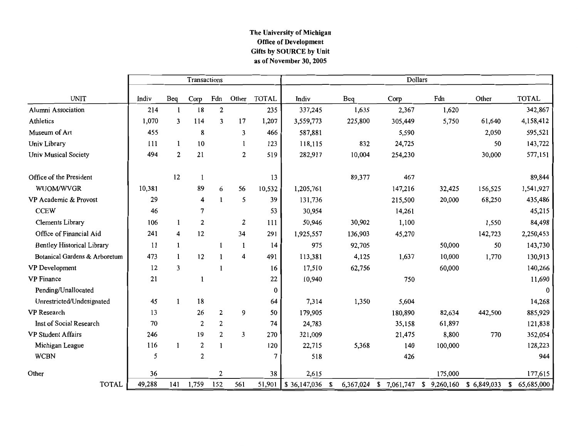#### The University of Michigan Office of Development Gifts by SOURCE by Unit as of November  $30, 2005$

|                                   |        |     | Transactions   |                  |       |              | Dollars      |    |         |         |                                     |             |                  |  |  |
|-----------------------------------|--------|-----|----------------|------------------|-------|--------------|--------------|----|---------|---------|-------------------------------------|-------------|------------------|--|--|
| <b>UNIT</b>                       | Indiv  | Beq | Corp           | Fdn              | Other | <b>TOTAL</b> | Indiv        |    | Beq     | Corp    | Fdn                                 | Other       | <b>TOTAL</b>     |  |  |
| Alumni Association                | 214    | 1   | 18             | $\mathbf{2}$     |       | 235          | 337,245      |    | 1,635   | 2,367   | 1,620                               |             | 342,867          |  |  |
| Athletics                         | 1,070  | 3   | 114            | 3                | 17    | 1,207        | 3,559,773    |    | 225,800 | 305,449 | 5,750                               | 61,640      | 4,158,412        |  |  |
| Museum of Art                     | 455    |     | 8              |                  | 3     | 466          | 587,881      |    |         | 5,590   |                                     | 2,050       | 595,521          |  |  |
| Univ Library                      | 111    |     | 10             |                  | 1     | 123          | 118,115      |    | 832     | 24,725  |                                     | 50          | 143,722          |  |  |
| <b>Univ Musical Society</b>       | 494    | 2   | 21             |                  | 2     | 519          | 282,917      |    | 10,004  | 254,230 |                                     | 30,000      | 577,151          |  |  |
| Office of the President           |        | 12  | 1              |                  |       | 13           |              |    | 89,377  | 467     |                                     |             | 89,844           |  |  |
| WUOM/WVGR                         | 10,381 |     | 89             | 6                | 56    | 10,532       | 1,205,761    |    |         | 147,216 | 32,425                              | 156,525     | 1,541,927        |  |  |
| VP Academic & Provost             | 29     |     | 4              |                  | 5     | 39           | 131,736      |    |         | 215,500 | 20,000                              | 68,250      | 435,486          |  |  |
| <b>CCEW</b>                       | 46     |     | 7              |                  |       | 53           | 30,954       |    |         | 14,261  |                                     |             | 45,215           |  |  |
| Clements Library                  | 106    | 1   | 2              |                  | 2     | 111          | 50,946       |    | 30,902  | 1,100   |                                     | 1,550       | 84,498           |  |  |
| Office of Financial Aid           | 241    | 4   | 12             |                  | 34    | 291          | 1,925,557    |    | 136,903 | 45,270  |                                     | 142,723     | 2,250,453        |  |  |
| <b>Bentley Historical Library</b> | 11     | 1   |                | 1                | 1     | 14           | 975          |    | 92,705  |         | 50,000                              | 50          | 143,730          |  |  |
| Botanical Gardens & Arboretum     | 473    | 1   | 12             |                  | 4     | 491          | 113,381      |    | 4,125   | 1,637   | 10,000                              | 1,770       | 130,913          |  |  |
| VP Development                    | 12     | 3   |                |                  |       | 16           | 17,510       |    | 62,756  |         | 60,000                              |             | 140,266          |  |  |
| <b>VP</b> Finance                 | 21     |     |                |                  |       | 22           | 10,940       |    |         | 750     |                                     |             | 11,690           |  |  |
| Pending/Unallocated               |        |     |                |                  |       | $\bf{0}$     |              |    |         |         |                                     |             |                  |  |  |
| Unrestricted/Undesignated         | 45     | -1  | 18             |                  |       | 64           | 7,314        |    | 1,350   | 5,604   |                                     |             | 14,268           |  |  |
| VP Research                       | 13     |     | 26             | $\mathbf{2}$     | 9     | 50           | 179,905      |    |         | 180,890 | 82,634                              | 442,500     | 885,929          |  |  |
| Inst of Social Research           | 70     |     | 2              | 2                |       | 74           | 24,783       |    |         | 35,158  | 61,897                              |             | 121,838          |  |  |
| <b>VP Student Affairs</b>         | 246    |     | 19             | $\boldsymbol{2}$ | 3     | 270          | 321,009      |    |         | 21,475  | 8,800                               | 770         | 352,054          |  |  |
| Michigan League                   | 116    |     | $\overline{2}$ | $\mathbf{1}$     |       | 120          | 22,715       |    | 5,368   | 140     | 100,000                             |             | 128,223          |  |  |
| <b>WCBN</b>                       | 5      |     | $\mathbf{2}$   |                  |       | 7            | 518          |    |         | 426     |                                     |             | 944              |  |  |
| Other                             | 36     |     |                | $\mathbf{2}$     |       | 38           | 2,615        |    |         |         | 175,000                             |             | 177,615          |  |  |
| <b>TOTAL</b>                      | 49,288 | 141 | 1,759          | 152              | 561   | 51,901       | \$36,147,036 | \$ |         |         | 6,367,024 \$ 7,061,747 \$ 9,260,160 | \$6,849,033 | 65,685,000<br>\$ |  |  |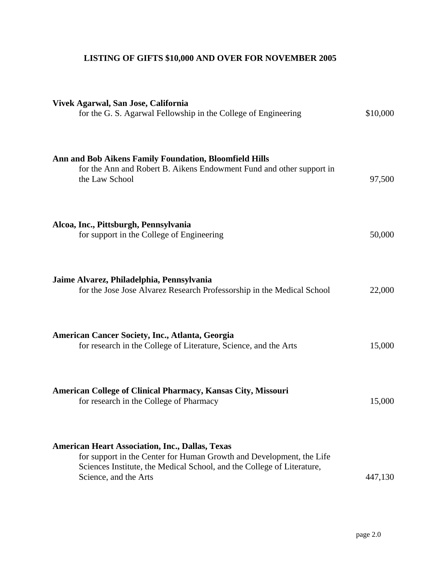## **LISTING OF GIFTS \$10,000 AND OVER FOR NOVEMBER 2005**

| Vivek Agarwal, San Jose, California<br>for the G. S. Agarwal Fellowship in the College of Engineering                                                                                                                             | \$10,000 |
|-----------------------------------------------------------------------------------------------------------------------------------------------------------------------------------------------------------------------------------|----------|
| Ann and Bob Aikens Family Foundation, Bloomfield Hills<br>for the Ann and Robert B. Aikens Endowment Fund and other support in<br>the Law School                                                                                  | 97,500   |
| Alcoa, Inc., Pittsburgh, Pennsylvania<br>for support in the College of Engineering                                                                                                                                                | 50,000   |
| Jaime Alvarez, Philadelphia, Pennsylvania<br>for the Jose Jose Alvarez Research Professorship in the Medical School                                                                                                               | 22,000   |
| American Cancer Society, Inc., Atlanta, Georgia<br>for research in the College of Literature, Science, and the Arts                                                                                                               | 15,000   |
| American College of Clinical Pharmacy, Kansas City, Missouri<br>for research in the College of Pharmacy                                                                                                                           | 15,000   |
| <b>American Heart Association, Inc., Dallas, Texas</b><br>for support in the Center for Human Growth and Development, the Life<br>Sciences Institute, the Medical School, and the College of Literature,<br>Science, and the Arts | 447,130  |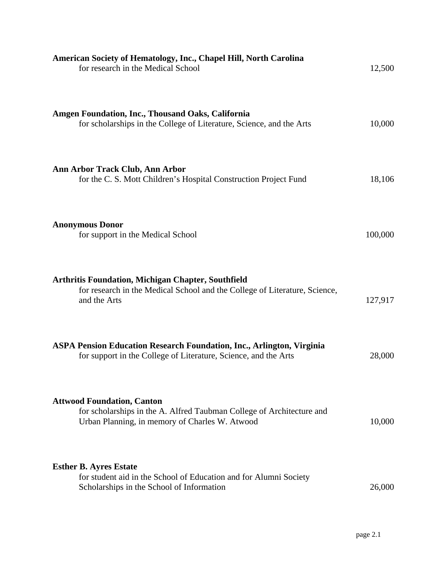| American Society of Hematology, Inc., Chapel Hill, North Carolina<br>for research in the Medical School                                                      | 12,500  |
|--------------------------------------------------------------------------------------------------------------------------------------------------------------|---------|
| Amgen Foundation, Inc., Thousand Oaks, California<br>for scholarships in the College of Literature, Science, and the Arts                                    | 10,000  |
| Ann Arbor Track Club, Ann Arbor<br>for the C. S. Mott Children's Hospital Construction Project Fund                                                          | 18,106  |
| <b>Anonymous Donor</b><br>for support in the Medical School                                                                                                  | 100,000 |
| <b>Arthritis Foundation, Michigan Chapter, Southfield</b><br>for research in the Medical School and the College of Literature, Science,<br>and the Arts      | 127,917 |
| <b>ASPA Pension Education Research Foundation, Inc., Arlington, Virginia</b><br>for support in the College of Literature, Science, and the Arts              | 28,000  |
| <b>Attwood Foundation, Canton</b><br>for scholarships in the A. Alfred Taubman College of Architecture and<br>Urban Planning, in memory of Charles W. Atwood | 10,000  |
| <b>Esther B. Ayres Estate</b><br>for student aid in the School of Education and for Alumni Society<br>Scholarships in the School of Information              | 26,000  |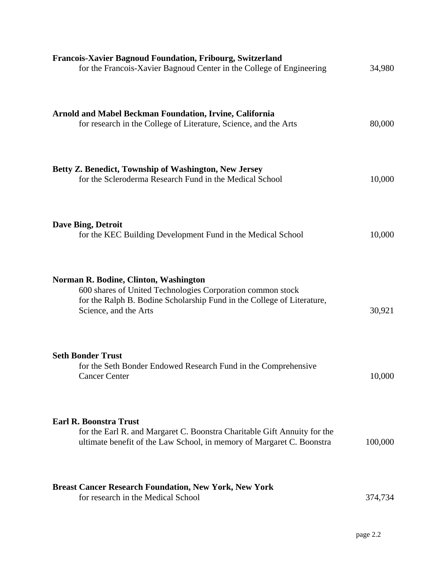| <b>Francois-Xavier Bagnoud Foundation, Fribourg, Switzerland</b><br>for the Francois-Xavier Bagnoud Center in the College of Engineering                                                               | 34,980  |
|--------------------------------------------------------------------------------------------------------------------------------------------------------------------------------------------------------|---------|
| <b>Arnold and Mabel Beckman Foundation, Irvine, California</b><br>for research in the College of Literature, Science, and the Arts                                                                     | 80,000  |
| Betty Z. Benedict, Township of Washington, New Jersey<br>for the Scleroderma Research Fund in the Medical School                                                                                       | 10,000  |
| <b>Dave Bing, Detroit</b><br>for the KEC Building Development Fund in the Medical School                                                                                                               | 10,000  |
| Norman R. Bodine, Clinton, Washington<br>600 shares of United Technologies Corporation common stock<br>for the Ralph B. Bodine Scholarship Fund in the College of Literature,<br>Science, and the Arts | 30,921  |
| <b>Seth Bonder Trust</b><br>for the Seth Bonder Endowed Research Fund in the Comprehensive<br><b>Cancer Center</b>                                                                                     | 10,000  |
| <b>Earl R. Boonstra Trust</b><br>for the Earl R. and Margaret C. Boonstra Charitable Gift Annuity for the<br>ultimate benefit of the Law School, in memory of Margaret C. Boonstra                     | 100,000 |
| <b>Breast Cancer Research Foundation, New York, New York</b><br>for research in the Medical School                                                                                                     | 374,734 |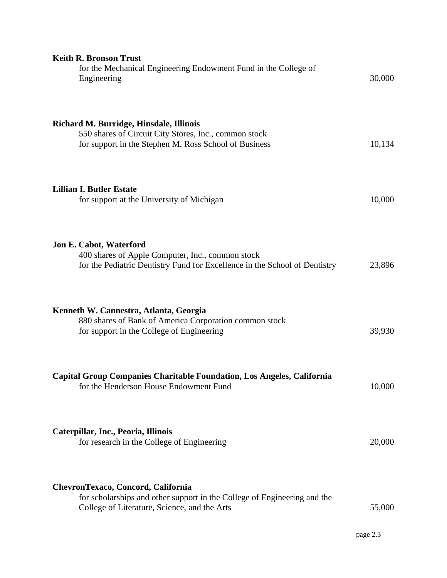| <b>Keith R. Bronson Trust</b><br>for the Mechanical Engineering Endowment Fund in the College of<br>Engineering                                                | 30,000 |
|----------------------------------------------------------------------------------------------------------------------------------------------------------------|--------|
| Richard M. Burridge, Hinsdale, Illinois<br>550 shares of Circuit City Stores, Inc., common stock<br>for support in the Stephen M. Ross School of Business      | 10,134 |
| <b>Lillian I. Butler Estate</b><br>for support at the University of Michigan                                                                                   | 10,000 |
| Jon E. Cabot, Waterford<br>400 shares of Apple Computer, Inc., common stock<br>for the Pediatric Dentistry Fund for Excellence in the School of Dentistry      | 23,896 |
| Kenneth W. Cannestra, Atlanta, Georgia<br>880 shares of Bank of America Corporation common stock<br>for support in the College of Engineering                  | 39,930 |
| Capital Group Companies Charitable Foundation, Los Angeles, California<br>for the Henderson House Endowment Fund                                               | 10,000 |
| Caterpillar, Inc., Peoria, Illinois<br>for research in the College of Engineering                                                                              | 20,000 |
| ChevronTexaco, Concord, California<br>for scholarships and other support in the College of Engineering and the<br>College of Literature, Science, and the Arts | 55,000 |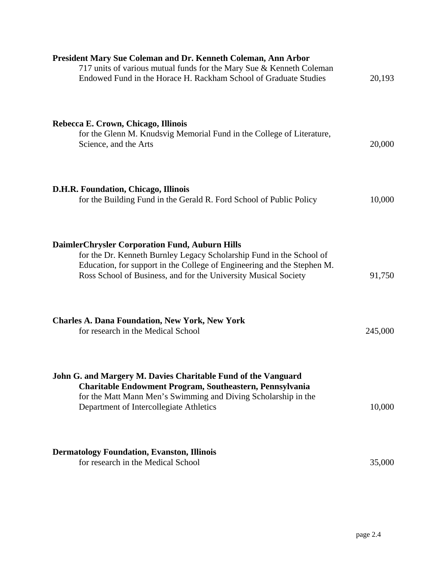| President Mary Sue Coleman and Dr. Kenneth Coleman, Ann Arbor<br>717 units of various mutual funds for the Mary Sue & Kenneth Coleman<br>Endowed Fund in the Horace H. Rackham School of Graduate Studies                                                            | 20,193  |
|----------------------------------------------------------------------------------------------------------------------------------------------------------------------------------------------------------------------------------------------------------------------|---------|
| Rebecca E. Crown, Chicago, Illinois<br>for the Glenn M. Knudsvig Memorial Fund in the College of Literature,<br>Science, and the Arts                                                                                                                                | 20,000  |
| D.H.R. Foundation, Chicago, Illinois<br>for the Building Fund in the Gerald R. Ford School of Public Policy                                                                                                                                                          | 10,000  |
| DaimlerChrysler Corporation Fund, Auburn Hills<br>for the Dr. Kenneth Burnley Legacy Scholarship Fund in the School of<br>Education, for support in the College of Engineering and the Stephen M.<br>Ross School of Business, and for the University Musical Society | 91,750  |
| <b>Charles A. Dana Foundation, New York, New York</b><br>for research in the Medical School                                                                                                                                                                          | 245,000 |
| John G. and Margery M. Davies Charitable Fund of the Vanguard<br>Charitable Endowment Program, Southeastern, Pennsylvania<br>for the Matt Mann Men's Swimming and Diving Scholarship in the<br>Department of Intercollegiate Athletics                               | 10,000  |
| <b>Dermatology Foundation, Evanston, Illinois</b><br>for research in the Medical School                                                                                                                                                                              | 35,000  |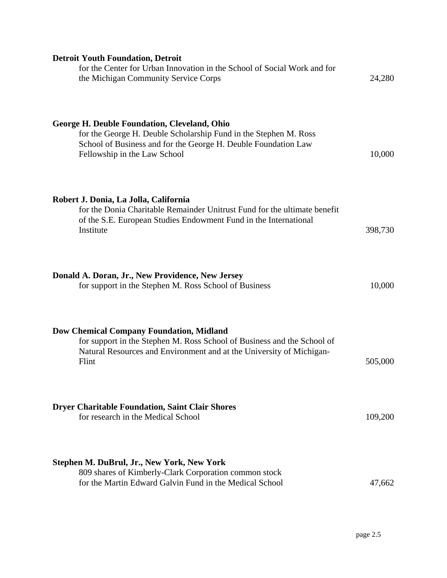| <b>Detroit Youth Foundation, Detroit</b><br>for the Center for Urban Innovation in the School of Social Work and for<br>the Michigan Community Service Corps                                                              | 24,280  |
|---------------------------------------------------------------------------------------------------------------------------------------------------------------------------------------------------------------------------|---------|
| <b>George H. Deuble Foundation, Cleveland, Ohio</b><br>for the George H. Deuble Scholarship Fund in the Stephen M. Ross<br>School of Business and for the George H. Deuble Foundation Law<br>Fellowship in the Law School | 10,000  |
| Robert J. Donia, La Jolla, California<br>for the Donia Charitable Remainder Unitrust Fund for the ultimate benefit<br>of the S.E. European Studies Endowment Fund in the International<br>Institute                       | 398,730 |
| Donald A. Doran, Jr., New Providence, New Jersey<br>for support in the Stephen M. Ross School of Business                                                                                                                 | 10,000  |
| <b>Dow Chemical Company Foundation, Midland</b><br>for support in the Stephen M. Ross School of Business and the School of<br>Natural Resources and Environment and at the University of Michigan-<br>Flint               | 505,000 |
| <b>Dryer Charitable Foundation, Saint Clair Shores</b><br>for research in the Medical School                                                                                                                              | 109,200 |
| Stephen M. DuBrul, Jr., New York, New York<br>809 shares of Kimberly-Clark Corporation common stock<br>for the Martin Edward Galvin Fund in the Medical School                                                            | 47,662  |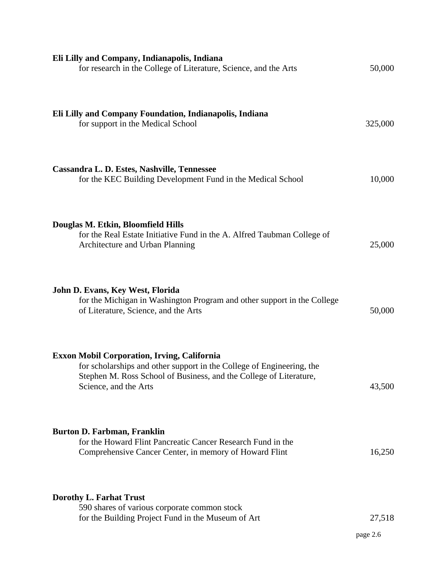| Eli Lilly and Company, Indianapolis, Indiana<br>for research in the College of Literature, Science, and the Arts                                                                                                    | 50,000             |
|---------------------------------------------------------------------------------------------------------------------------------------------------------------------------------------------------------------------|--------------------|
| Eli Lilly and Company Foundation, Indianapolis, Indiana<br>for support in the Medical School                                                                                                                        | 325,000            |
| Cassandra L. D. Estes, Nashville, Tennessee<br>for the KEC Building Development Fund in the Medical School                                                                                                          | 10,000             |
| Douglas M. Etkin, Bloomfield Hills<br>for the Real Estate Initiative Fund in the A. Alfred Taubman College of<br>Architecture and Urban Planning                                                                    | 25,000             |
| John D. Evans, Key West, Florida<br>for the Michigan in Washington Program and other support in the College<br>of Literature, Science, and the Arts                                                                 | 50,000             |
| Exxon Mobil Corporation, Irving, California<br>for scholarships and other support in the College of Engineering, the<br>Stephen M. Ross School of Business, and the College of Literature,<br>Science, and the Arts | 43,500             |
| <b>Burton D. Farbman, Franklin</b><br>for the Howard Flint Pancreatic Cancer Research Fund in the<br>Comprehensive Cancer Center, in memory of Howard Flint                                                         | 16,250             |
| Dorothy L. Farhat Trust<br>590 shares of various corporate common stock<br>for the Building Project Fund in the Museum of Art                                                                                       | 27,518<br>page 2.6 |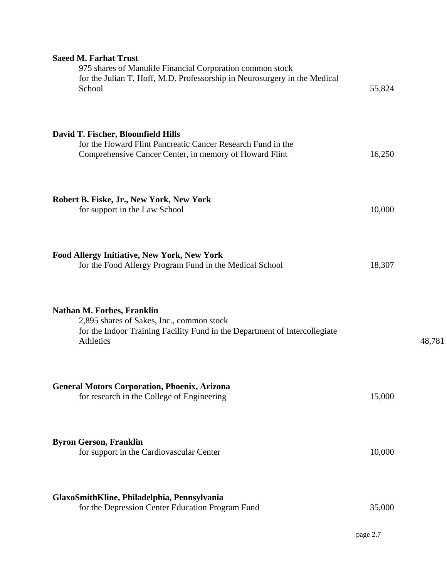| <b>Saeed M. Farhat Trust</b><br>975 shares of Manulife Financial Corporation common stock<br>for the Julian T. Hoff, M.D. Professorship in Neurosurgery in the Medical<br>School | 55,824 |        |
|----------------------------------------------------------------------------------------------------------------------------------------------------------------------------------|--------|--------|
| David T. Fischer, Bloomfield Hills<br>for the Howard Flint Pancreatic Cancer Research Fund in the<br>Comprehensive Cancer Center, in memory of Howard Flint                      | 16,250 |        |
| Robert B. Fiske, Jr., New York, New York<br>for support in the Law School                                                                                                        | 10,000 |        |
| Food Allergy Initiative, New York, New York<br>for the Food Allergy Program Fund in the Medical School                                                                           | 18,307 |        |
| <b>Nathan M. Forbes, Franklin</b><br>2,895 shares of Sakes, Inc., common stock<br>for the Indoor Training Facility Fund in the Department of Intercollegiate<br>Athletics        |        | 48,781 |
| <b>General Motors Corporation, Phoenix, Arizona</b><br>for research in the College of Engineering                                                                                | 15,000 |        |
| <b>Byron Gerson, Franklin</b><br>for support in the Cardiovascular Center                                                                                                        | 10,000 |        |
| GlaxoSmithKline, Philadelphia, Pennsylvania<br>for the Depression Center Education Program Fund                                                                                  | 35,000 |        |

page 2.7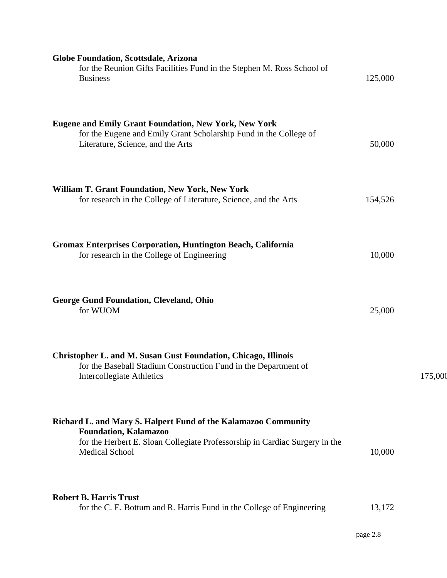| <b>Globe Foundation, Scottsdale, Arizona</b><br>for the Reunion Gifts Facilities Fund in the Stephen M. Ross School of<br><b>Business</b>                                                              | 125,000 |         |
|--------------------------------------------------------------------------------------------------------------------------------------------------------------------------------------------------------|---------|---------|
| <b>Eugene and Emily Grant Foundation, New York, New York</b><br>for the Eugene and Emily Grant Scholarship Fund in the College of<br>Literature, Science, and the Arts                                 | 50,000  |         |
| <b>William T. Grant Foundation, New York, New York</b><br>for research in the College of Literature, Science, and the Arts                                                                             | 154,526 |         |
| <b>Gromax Enterprises Corporation, Huntington Beach, California</b><br>for research in the College of Engineering                                                                                      | 10,000  |         |
| <b>George Gund Foundation, Cleveland, Ohio</b><br>for WUOM                                                                                                                                             | 25,000  |         |
| <b>Christopher L. and M. Susan Gust Foundation, Chicago, Illinois</b><br>for the Baseball Stadium Construction Fund in the Department of<br>Intercollegiate Athletics                                  |         | 175,000 |
| Richard L. and Mary S. Halpert Fund of the Kalamazoo Community<br><b>Foundation, Kalamazoo</b><br>for the Herbert E. Sloan Collegiate Professorship in Cardiac Surgery in the<br><b>Medical School</b> | 10,000  |         |
| <b>Robert B. Harris Trust</b><br>for the C. E. Bottum and R. Harris Fund in the College of Engineering                                                                                                 | 13,172  |         |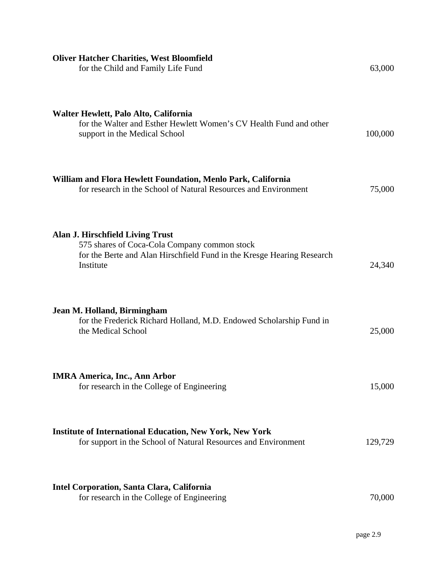| <b>Oliver Hatcher Charities, West Bloomfield</b><br>for the Child and Family Life Fund                                                                                  | 63,000  |
|-------------------------------------------------------------------------------------------------------------------------------------------------------------------------|---------|
| Walter Hewlett, Palo Alto, California<br>for the Walter and Esther Hewlett Women's CV Health Fund and other<br>support in the Medical School                            | 100,000 |
| William and Flora Hewlett Foundation, Menlo Park, California<br>for research in the School of Natural Resources and Environment                                         | 75,000  |
| Alan J. Hirschfield Living Trust<br>575 shares of Coca-Cola Company common stock<br>for the Berte and Alan Hirschfield Fund in the Kresge Hearing Research<br>Institute | 24,340  |
| Jean M. Holland, Birmingham<br>for the Frederick Richard Holland, M.D. Endowed Scholarship Fund in<br>the Medical School                                                | 25,000  |
| <b>IMRA America, Inc., Ann Arbor</b><br>for research in the College of Engineering                                                                                      | 15,000  |
| <b>Institute of International Education, New York, New York</b><br>for support in the School of Natural Resources and Environment                                       | 129,729 |
| Intel Corporation, Santa Clara, California<br>for research in the College of Engineering                                                                                | 70,000  |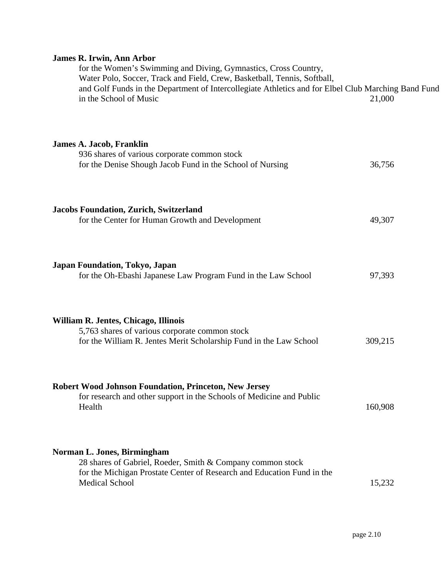## **James R. Irwin, Ann Arbor**

| for the Women's Swimming and Diving, Gymnastics, Cross Country,<br>Water Polo, Soccer, Track and Field, Crew, Basketball, Tennis, Softball,<br>and Golf Funds in the Department of Intercollegiate Athletics and for Elbel Club Marching Band Fund<br>in the School of Music | 21,000  |
|------------------------------------------------------------------------------------------------------------------------------------------------------------------------------------------------------------------------------------------------------------------------------|---------|
| <b>James A. Jacob, Franklin</b><br>936 shares of various corporate common stock<br>for the Denise Shough Jacob Fund in the School of Nursing                                                                                                                                 | 36,756  |
| <b>Jacobs Foundation, Zurich, Switzerland</b><br>for the Center for Human Growth and Development                                                                                                                                                                             | 49,307  |
| Japan Foundation, Tokyo, Japan<br>for the Oh-Ebashi Japanese Law Program Fund in the Law School                                                                                                                                                                              | 97,393  |
| William R. Jentes, Chicago, Illinois<br>5,763 shares of various corporate common stock<br>for the William R. Jentes Merit Scholarship Fund in the Law School                                                                                                                 | 309,215 |
| <b>Robert Wood Johnson Foundation, Princeton, New Jersey</b><br>for research and other support in the Schools of Medicine and Public<br>Health                                                                                                                               | 160,908 |
| Norman L. Jones, Birmingham<br>28 shares of Gabriel, Roeder, Smith & Company common stock<br>for the Michigan Prostate Center of Research and Education Fund in the<br><b>Medical School</b>                                                                                 | 15,232  |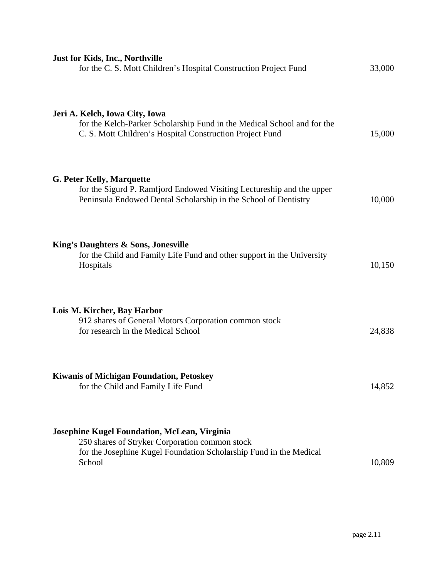| <b>Just for Kids, Inc., Northville</b><br>for the C. S. Mott Children's Hospital Construction Project Fund                                                                            | 33,000 |
|---------------------------------------------------------------------------------------------------------------------------------------------------------------------------------------|--------|
| Jeri A. Kelch, Iowa City, Iowa<br>for the Kelch-Parker Scholarship Fund in the Medical School and for the<br>C. S. Mott Children's Hospital Construction Project Fund                 | 15,000 |
| <b>G. Peter Kelly, Marquette</b><br>for the Sigurd P. Ramfjord Endowed Visiting Lectureship and the upper<br>Peninsula Endowed Dental Scholarship in the School of Dentistry          | 10,000 |
| King's Daughters & Sons, Jonesville<br>for the Child and Family Life Fund and other support in the University<br>Hospitals                                                            | 10,150 |
| Lois M. Kircher, Bay Harbor<br>912 shares of General Motors Corporation common stock<br>for research in the Medical School                                                            | 24,838 |
| <b>Kiwanis of Michigan Foundation, Petoskey</b><br>for the Child and Family Life Fund                                                                                                 | 14,852 |
| <b>Josephine Kugel Foundation, McLean, Virginia</b><br>250 shares of Stryker Corporation common stock<br>for the Josephine Kugel Foundation Scholarship Fund in the Medical<br>School | 10,809 |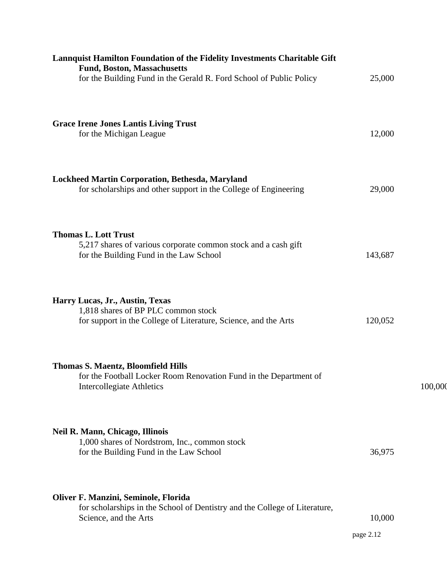| Lannquist Hamilton Foundation of the Fidelity Investments Charitable Gift<br><b>Fund, Boston, Massachusetts</b><br>for the Building Fund in the Gerald R. Ford School of Public Policy | 25,000              |         |
|----------------------------------------------------------------------------------------------------------------------------------------------------------------------------------------|---------------------|---------|
| <b>Grace Irene Jones Lantis Living Trust</b><br>for the Michigan League                                                                                                                | 12,000              |         |
| Lockheed Martin Corporation, Bethesda, Maryland<br>for scholarships and other support in the College of Engineering                                                                    | 29,000              |         |
| <b>Thomas L. Lott Trust</b><br>5,217 shares of various corporate common stock and a cash gift<br>for the Building Fund in the Law School                                               | 143,687             |         |
| Harry Lucas, Jr., Austin, Texas<br>1,818 shares of BP PLC common stock<br>for support in the College of Literature, Science, and the Arts                                              | 120,052             |         |
| <b>Thomas S. Maentz, Bloomfield Hills</b><br>for the Football Locker Room Renovation Fund in the Department of<br><b>Intercollegiate Athletics</b>                                     |                     | 100,000 |
| <b>Neil R. Mann, Chicago, Illinois</b><br>1,000 shares of Nordstrom, Inc., common stock<br>for the Building Fund in the Law School                                                     | 36,975              |         |
| Oliver F. Manzini, Seminole, Florida<br>for scholarships in the School of Dentistry and the College of Literature,<br>Science, and the Arts                                            | 10,000<br>page 2.12 |         |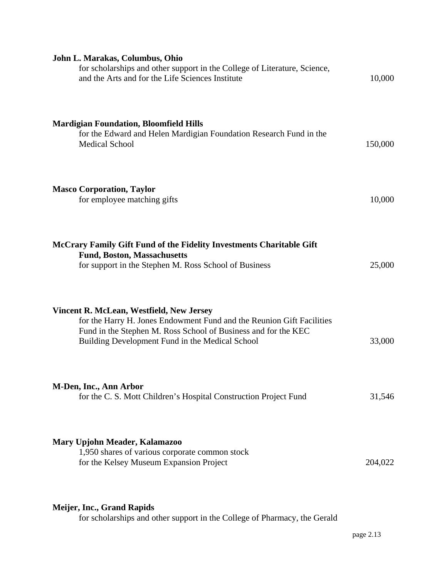| John L. Marakas, Columbus, Ohio<br>for scholarships and other support in the College of Literature, Science,<br>and the Arts and for the Life Sciences Institute                                                                       | 10,000  |
|----------------------------------------------------------------------------------------------------------------------------------------------------------------------------------------------------------------------------------------|---------|
| <b>Mardigian Foundation, Bloomfield Hills</b><br>for the Edward and Helen Mardigian Foundation Research Fund in the<br><b>Medical School</b>                                                                                           | 150,000 |
| <b>Masco Corporation, Taylor</b><br>for employee matching gifts                                                                                                                                                                        | 10,000  |
| McCrary Family Gift Fund of the Fidelity Investments Charitable Gift<br><b>Fund, Boston, Massachusetts</b><br>for support in the Stephen M. Ross School of Business                                                                    | 25,000  |
| Vincent R. McLean, Westfield, New Jersey<br>for the Harry H. Jones Endowment Fund and the Reunion Gift Facilities<br>Fund in the Stephen M. Ross School of Business and for the KEC<br>Building Development Fund in the Medical School | 33,000  |
| M-Den, Inc., Ann Arbor<br>for the C. S. Mott Children's Hospital Construction Project Fund                                                                                                                                             | 31,546  |
| Mary Upjohn Meader, Kalamazoo<br>1,950 shares of various corporate common stock<br>for the Kelsey Museum Expansion Project                                                                                                             | 204,022 |

# **Meijer, Inc., Grand Rapids**

for scholarships and other support in the College of Pharmacy, the Gerald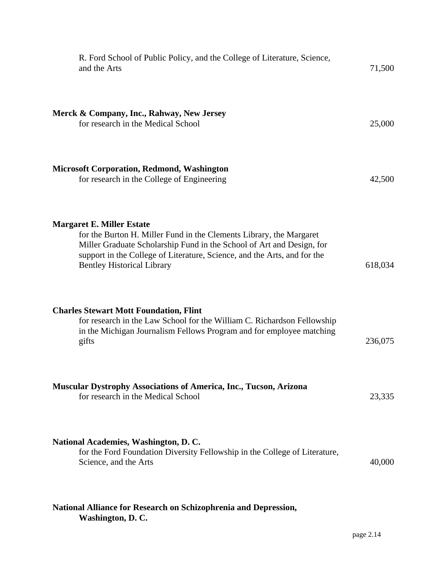| R. Ford School of Public Policy, and the College of Literature, Science,<br>and the Arts                                                                                                                                                                                                          | 71,500  |
|---------------------------------------------------------------------------------------------------------------------------------------------------------------------------------------------------------------------------------------------------------------------------------------------------|---------|
| Merck & Company, Inc., Rahway, New Jersey<br>for research in the Medical School                                                                                                                                                                                                                   | 25,000  |
| <b>Microsoft Corporation, Redmond, Washington</b><br>for research in the College of Engineering                                                                                                                                                                                                   | 42,500  |
| <b>Margaret E. Miller Estate</b><br>for the Burton H. Miller Fund in the Clements Library, the Margaret<br>Miller Graduate Scholarship Fund in the School of Art and Design, for<br>support in the College of Literature, Science, and the Arts, and for the<br><b>Bentley Historical Library</b> | 618,034 |
| <b>Charles Stewart Mott Foundation, Flint</b><br>for research in the Law School for the William C. Richardson Fellowship<br>in the Michigan Journalism Fellows Program and for employee matching<br>gifts                                                                                         | 236,075 |
| <b>Muscular Dystrophy Associations of America, Inc., Tucson, Arizona</b><br>for research in the Medical School                                                                                                                                                                                    | 23,335  |
| National Academies, Washington, D. C.<br>for the Ford Foundation Diversity Fellowship in the College of Literature,<br>Science, and the Arts                                                                                                                                                      | 40,000  |
| National Alliance for Research on Schizophrenia and Depression,                                                                                                                                                                                                                                   |         |

**Washington, D. C.**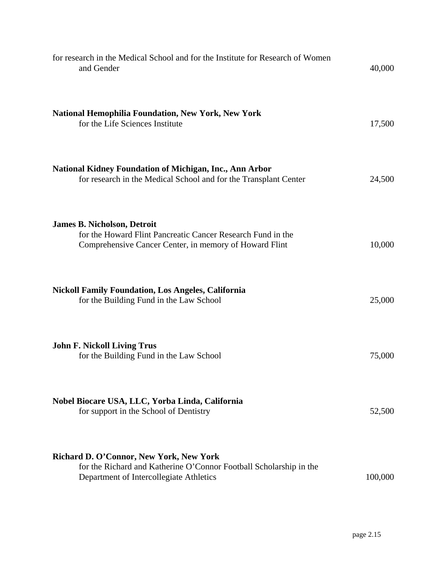| for research in the Medical School and for the Institute for Research of Women<br>and Gender                                                                | 40,000  |
|-------------------------------------------------------------------------------------------------------------------------------------------------------------|---------|
| <b>National Hemophilia Foundation, New York, New York</b><br>for the Life Sciences Institute                                                                | 17,500  |
| <b>National Kidney Foundation of Michigan, Inc., Ann Arbor</b><br>for research in the Medical School and for the Transplant Center                          | 24,500  |
| <b>James B. Nicholson, Detroit</b><br>for the Howard Flint Pancreatic Cancer Research Fund in the<br>Comprehensive Cancer Center, in memory of Howard Flint | 10,000  |
| <b>Nickoll Family Foundation, Los Angeles, California</b><br>for the Building Fund in the Law School                                                        | 25,000  |
| <b>John F. Nickoll Living Trus</b><br>for the Building Fund in the Law School                                                                               | 75,000  |
| Nobel Biocare USA, LLC, Yorba Linda, California<br>for support in the School of Dentistry                                                                   | 52,500  |
| Richard D. O'Connor, New York, New York<br>for the Richard and Katherine O'Connor Football Scholarship in the<br>Department of Intercollegiate Athletics    | 100,000 |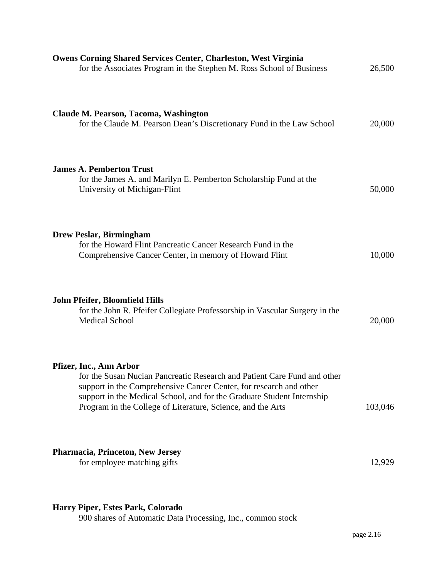| <b>Owens Corning Shared Services Center, Charleston, West Virginia</b><br>for the Associates Program in the Stephen M. Ross School of Business                                                                                                                                                                     | 26,500  |
|--------------------------------------------------------------------------------------------------------------------------------------------------------------------------------------------------------------------------------------------------------------------------------------------------------------------|---------|
| Claude M. Pearson, Tacoma, Washington<br>for the Claude M. Pearson Dean's Discretionary Fund in the Law School                                                                                                                                                                                                     | 20,000  |
| <b>James A. Pemberton Trust</b><br>for the James A. and Marilyn E. Pemberton Scholarship Fund at the<br>University of Michigan-Flint                                                                                                                                                                               | 50,000  |
| <b>Drew Peslar, Birmingham</b><br>for the Howard Flint Pancreatic Cancer Research Fund in the<br>Comprehensive Cancer Center, in memory of Howard Flint                                                                                                                                                            | 10,000  |
| John Pfeifer, Bloomfield Hills<br>for the John R. Pfeifer Collegiate Professorship in Vascular Surgery in the<br><b>Medical School</b>                                                                                                                                                                             | 20,000  |
| Pfizer, Inc., Ann Arbor<br>for the Susan Nucian Pancreatic Research and Patient Care Fund and other<br>support in the Comprehensive Cancer Center, for research and other<br>support in the Medical School, and for the Graduate Student Internship<br>Program in the College of Literature, Science, and the Arts | 103,046 |
| Pharmacia, Princeton, New Jersey<br>for employee matching gifts                                                                                                                                                                                                                                                    | 12,929  |

# **Harry Piper, Estes Park, Colorado**

900 shares of Automatic Data Processing, Inc., common stock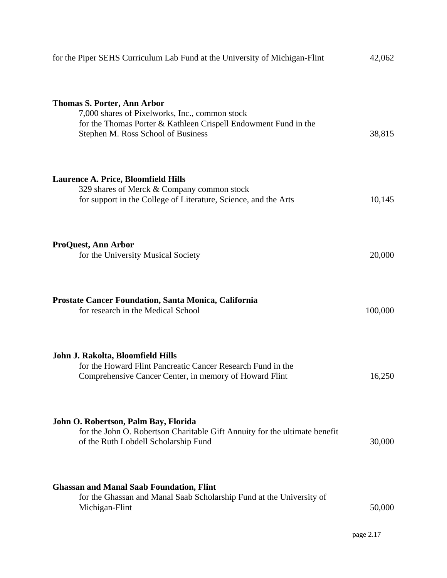| for the Piper SEHS Curriculum Lab Fund at the University of Michigan-Flint                                                                                                                    | 42,062  |
|-----------------------------------------------------------------------------------------------------------------------------------------------------------------------------------------------|---------|
| <b>Thomas S. Porter, Ann Arbor</b><br>7,000 shares of Pixelworks, Inc., common stock<br>for the Thomas Porter & Kathleen Crispell Endowment Fund in the<br>Stephen M. Ross School of Business | 38,815  |
| <b>Laurence A. Price, Bloomfield Hills</b><br>329 shares of Merck & Company common stock<br>for support in the College of Literature, Science, and the Arts                                   | 10,145  |
| <b>ProQuest, Ann Arbor</b><br>for the University Musical Society                                                                                                                              | 20,000  |
| <b>Prostate Cancer Foundation, Santa Monica, California</b><br>for research in the Medical School                                                                                             | 100,000 |
| John J. Rakolta, Bloomfield Hills<br>for the Howard Flint Pancreatic Cancer Research Fund in the<br>Comprehensive Cancer Center, in memory of Howard Flint                                    | 16,250  |
| John O. Robertson, Palm Bay, Florida<br>for the John O. Robertson Charitable Gift Annuity for the ultimate benefit<br>of the Ruth Lobdell Scholarship Fund                                    | 30,000  |
| <b>Ghassan and Manal Saab Foundation, Flint</b><br>for the Ghassan and Manal Saab Scholarship Fund at the University of<br>Michigan-Flint                                                     | 50,000  |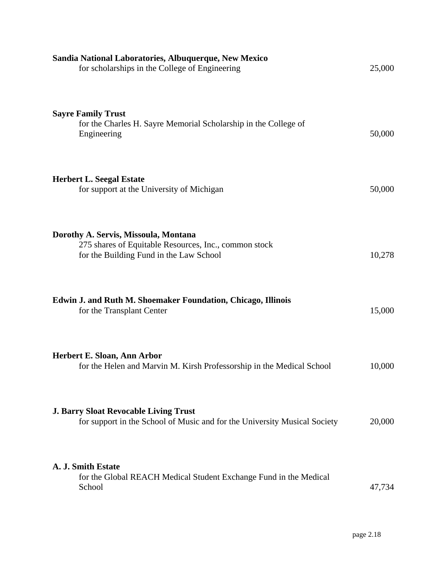| Sandia National Laboratories, Albuquerque, New Mexico<br>for scholarships in the College of Engineering                                  | 25,000 |
|------------------------------------------------------------------------------------------------------------------------------------------|--------|
| <b>Sayre Family Trust</b><br>for the Charles H. Sayre Memorial Scholarship in the College of<br>Engineering                              | 50,000 |
| <b>Herbert L. Seegal Estate</b><br>for support at the University of Michigan                                                             | 50,000 |
| Dorothy A. Servis, Missoula, Montana<br>275 shares of Equitable Resources, Inc., common stock<br>for the Building Fund in the Law School | 10,278 |
| Edwin J. and Ruth M. Shoemaker Foundation, Chicago, Illinois<br>for the Transplant Center                                                | 15,000 |
| Herbert E. Sloan, Ann Arbor<br>for the Helen and Marvin M. Kirsh Professorship in the Medical School                                     | 10,000 |
| <b>J. Barry Sloat Revocable Living Trust</b><br>for support in the School of Music and for the University Musical Society                | 20,000 |
| A. J. Smith Estate<br>for the Global REACH Medical Student Exchange Fund in the Medical<br>School                                        | 47,734 |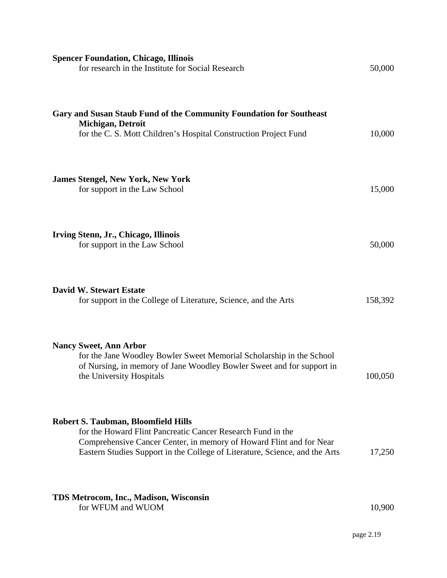| <b>Spencer Foundation, Chicago, Illinois</b><br>for research in the Institute for Social Research                                                                                                                                                               | 50,000  |
|-----------------------------------------------------------------------------------------------------------------------------------------------------------------------------------------------------------------------------------------------------------------|---------|
| Gary and Susan Staub Fund of the Community Foundation for Southeast<br>Michigan, Detroit<br>for the C. S. Mott Children's Hospital Construction Project Fund                                                                                                    | 10,000  |
| <b>James Stengel, New York, New York</b><br>for support in the Law School                                                                                                                                                                                       | 15,000  |
| Irving Stenn, Jr., Chicago, Illinois<br>for support in the Law School                                                                                                                                                                                           | 50,000  |
| <b>David W. Stewart Estate</b><br>for support in the College of Literature, Science, and the Arts                                                                                                                                                               | 158,392 |
| <b>Nancy Sweet, Ann Arbor</b><br>for the Jane Woodley Bowler Sweet Memorial Scholarship in the School<br>of Nursing, in memory of Jane Woodley Bowler Sweet and for support in<br>the University Hospitals                                                      | 100,050 |
| <b>Robert S. Taubman, Bloomfield Hills</b><br>for the Howard Flint Pancreatic Cancer Research Fund in the<br>Comprehensive Cancer Center, in memory of Howard Flint and for Near<br>Eastern Studies Support in the College of Literature, Science, and the Arts | 17,250  |
| TDS Metrocom, Inc., Madison, Wisconsin<br>for WFUM and WUOM                                                                                                                                                                                                     | 10,900  |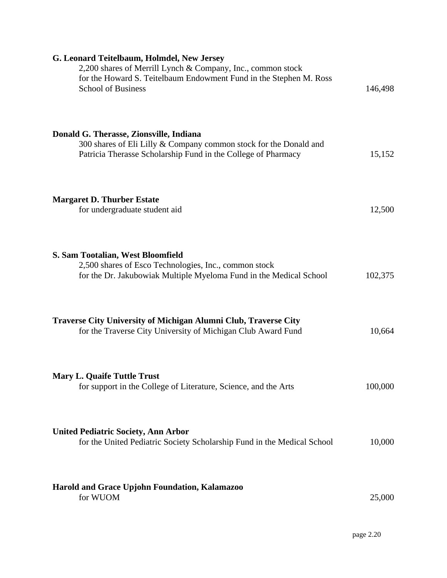| G. Leonard Teitelbaum, Holmdel, New Jersey                                                                                                                     |         |
|----------------------------------------------------------------------------------------------------------------------------------------------------------------|---------|
| 2,200 shares of Merrill Lynch & Company, Inc., common stock<br>for the Howard S. Teitelbaum Endowment Fund in the Stephen M. Ross<br><b>School of Business</b> | 146,498 |
|                                                                                                                                                                |         |
| Donald G. Therasse, Zionsville, Indiana                                                                                                                        |         |
| 300 shares of Eli Lilly & Company common stock for the Donald and<br>Patricia Therasse Scholarship Fund in the College of Pharmacy                             | 15,152  |
| <b>Margaret D. Thurber Estate</b>                                                                                                                              |         |
| for undergraduate student aid                                                                                                                                  | 12,500  |
| S. Sam Tootalian, West Bloomfield                                                                                                                              |         |
| 2,500 shares of Esco Technologies, Inc., common stock<br>for the Dr. Jakubowiak Multiple Myeloma Fund in the Medical School                                    | 102,375 |
| <b>Traverse City University of Michigan Alumni Club, Traverse City</b>                                                                                         |         |
| for the Traverse City University of Michigan Club Award Fund                                                                                                   | 10,664  |
| <b>Mary L. Quaife Tuttle Trust</b><br>for support in the College of Literature, Science, and the Arts                                                          | 100,000 |
|                                                                                                                                                                |         |
| <b>United Pediatric Society, Ann Arbor</b><br>for the United Pediatric Society Scholarship Fund in the Medical School                                          | 10,000  |
|                                                                                                                                                                |         |
| Harold and Grace Upjohn Foundation, Kalamazoo<br>for WUOM                                                                                                      | 25,000  |
|                                                                                                                                                                |         |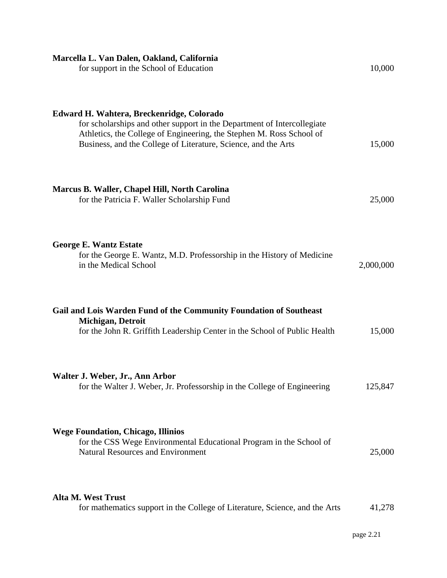| Marcella L. Van Dalen, Oakland, California<br>for support in the School of Education                                                                                                                                                                           | 10,000    |
|----------------------------------------------------------------------------------------------------------------------------------------------------------------------------------------------------------------------------------------------------------------|-----------|
| Edward H. Wahtera, Breckenridge, Colorado<br>for scholarships and other support in the Department of Intercollegiate<br>Athletics, the College of Engineering, the Stephen M. Ross School of<br>Business, and the College of Literature, Science, and the Arts | 15,000    |
| Marcus B. Waller, Chapel Hill, North Carolina<br>for the Patricia F. Waller Scholarship Fund                                                                                                                                                                   | 25,000    |
| <b>George E. Wantz Estate</b><br>for the George E. Wantz, M.D. Professorship in the History of Medicine<br>in the Medical School                                                                                                                               | 2,000,000 |
| Gail and Lois Warden Fund of the Community Foundation of Southeast<br>Michigan, Detroit<br>for the John R. Griffith Leadership Center in the School of Public Health                                                                                           | 15,000    |
| Walter J. Weber, Jr., Ann Arbor<br>for the Walter J. Weber, Jr. Professorship in the College of Engineering                                                                                                                                                    | 125,847   |
| <b>Wege Foundation, Chicago, Illinios</b><br>for the CSS Wege Environmental Educational Program in the School of<br><b>Natural Resources and Environment</b>                                                                                                   | 25,000    |
| Alta M. West Trust<br>for mathematics support in the College of Literature, Science, and the Arts                                                                                                                                                              | 41,278    |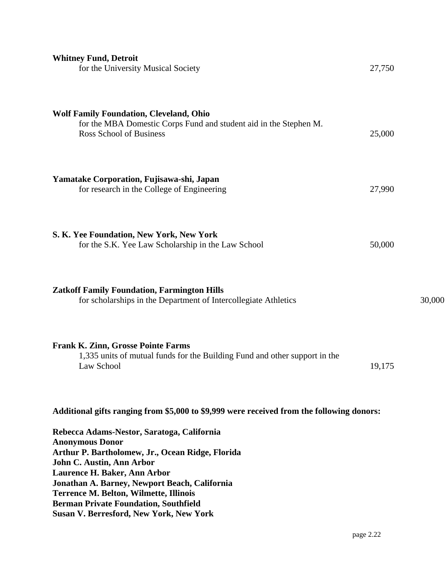| <b>Whitney Fund, Detroit</b><br>for the University Musical Society                                                                                                                                                                                                                                                                                                                        | 27,750    |        |
|-------------------------------------------------------------------------------------------------------------------------------------------------------------------------------------------------------------------------------------------------------------------------------------------------------------------------------------------------------------------------------------------|-----------|--------|
| <b>Wolf Family Foundation, Cleveland, Ohio</b><br>for the MBA Domestic Corps Fund and student aid in the Stephen M.<br><b>Ross School of Business</b>                                                                                                                                                                                                                                     | 25,000    |        |
| Yamatake Corporation, Fujisawa-shi, Japan<br>for research in the College of Engineering                                                                                                                                                                                                                                                                                                   | 27,990    |        |
| S. K. Yee Foundation, New York, New York<br>for the S.K. Yee Law Scholarship in the Law School                                                                                                                                                                                                                                                                                            | 50,000    |        |
| <b>Zatkoff Family Foundation, Farmington Hills</b><br>for scholarships in the Department of Intercollegiate Athletics                                                                                                                                                                                                                                                                     |           | 30,000 |
| <b>Frank K. Zinn, Grosse Pointe Farms</b><br>1,335 units of mutual funds for the Building Fund and other support in the<br>Law School                                                                                                                                                                                                                                                     | 19,175    |        |
| Additional gifts ranging from \$5,000 to \$9,999 were received from the following donors:                                                                                                                                                                                                                                                                                                 |           |        |
| Rebecca Adams-Nestor, Saratoga, California<br><b>Anonymous Donor</b><br>Arthur P. Bartholomew, Jr., Ocean Ridge, Florida<br>John C. Austin, Ann Arbor<br>Laurence H. Baker, Ann Arbor<br>Jonathan A. Barney, Newport Beach, California<br><b>Terrence M. Belton, Wilmette, Illinois</b><br><b>Berman Private Foundation, Southfield</b><br><b>Susan V. Berresford, New York, New York</b> |           |        |
|                                                                                                                                                                                                                                                                                                                                                                                           | page 2.22 |        |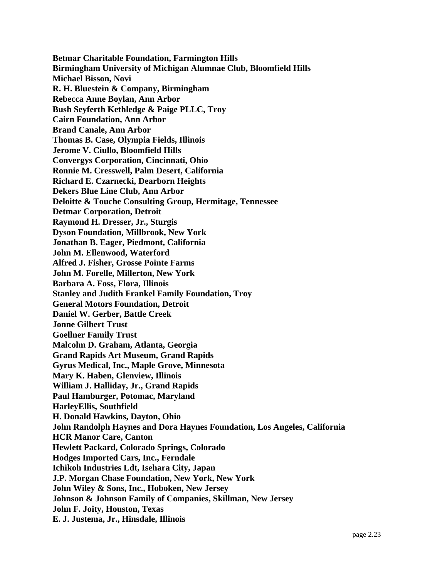**Betmar Charitable Foundation, Farmington Hills Birmingham University of Michigan Alumnae Club, Bloomfield Hills Michael Bisson, Novi R. H. Bluestein & Company, Birmingham Rebecca Anne Boylan, Ann Arbor Bush Seyferth Kethledge & Paige PLLC, Troy Cairn Foundation, Ann Arbor Brand Canale, Ann Arbor Thomas B. Case, Olympia Fields, Illinois Jerome V. Ciullo, Bloomfield Hills Convergys Corporation, Cincinnati, Ohio Ronnie M. Cresswell, Palm Desert, California Richard E. Czarnecki, Dearborn Heights Dekers Blue Line Club, Ann Arbor Deloitte & Touche Consulting Group, Hermitage, Tennessee Detmar Corporation, Detroit Raymond H. Dresser, Jr., Sturgis Dyson Foundation, Millbrook, New York Jonathan B. Eager, Piedmont, California John M. Ellenwood, Waterford Alfred J. Fisher, Grosse Pointe Farms John M. Forelle, Millerton, New York Barbara A. Foss, Flora, Illinois Stanley and Judith Frankel Family Foundation, Troy General Motors Foundation, Detroit Daniel W. Gerber, Battle Creek Jonne Gilbert Trust Goellner Family Trust Malcolm D. Graham, Atlanta, Georgia Grand Rapids Art Museum, Grand Rapids Gyrus Medical, Inc., Maple Grove, Minnesota Mary K. Haben, Glenview, Illinois William J. Halliday, Jr., Grand Rapids Paul Hamburger, Potomac, Maryland HarleyEllis, Southfield H. Donald Hawkins, Dayton, Ohio John Randolph Haynes and Dora Haynes Foundation, Los Angeles, California HCR Manor Care, Canton Hewlett Packard, Colorado Springs, Colorado Hodges Imported Cars, Inc., Ferndale Ichikoh Industries Ldt, Isehara City, Japan J.P. Morgan Chase Foundation, New York, New York John Wiley & Sons, Inc., Hoboken, New Jersey Johnson & Johnson Family of Companies, Skillman, New Jersey John F. Joity, Houston, Texas E. J. Justema, Jr., Hinsdale, Illinois**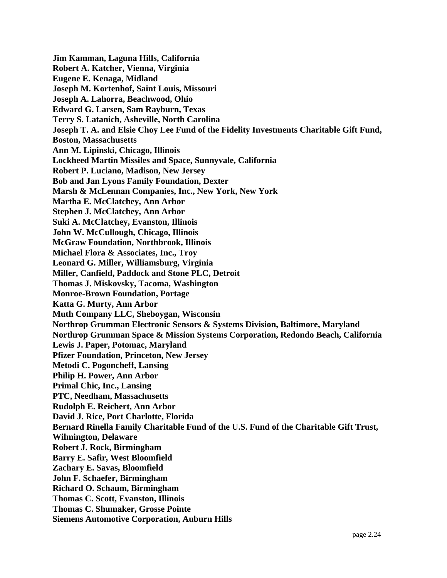**Jim Kamman, Laguna Hills, California Robert A. Katcher, Vienna, Virginia Eugene E. Kenaga, Midland Joseph M. Kortenhof, Saint Louis, Missouri Joseph A. Lahorra, Beachwood, Ohio Edward G. Larsen, Sam Rayburn, Texas Terry S. Latanich, Asheville, North Carolina Joseph T. A. and Elsie Choy Lee Fund of the Fidelity Investments Charitable Gift Fund, Boston, Massachusetts Ann M. Lipinski, Chicago, Illinois Lockheed Martin Missiles and Space, Sunnyvale, California Robert P. Luciano, Madison, New Jersey Bob and Jan Lyons Family Foundation, Dexter Marsh & McLennan Companies, Inc., New York, New York Martha E. McClatchey, Ann Arbor Stephen J. McClatchey, Ann Arbor Suki A. McClatchey, Evanston, Illinois John W. McCullough, Chicago, Illinois McGraw Foundation, Northbrook, Illinois Michael Flora & Associates, Inc., Troy Leonard G. Miller, Williamsburg, Virginia Miller, Canfield, Paddock and Stone PLC, Detroit Thomas J. Miskovsky, Tacoma, Washington Monroe-Brown Foundation, Portage Katta G. Murty, Ann Arbor Muth Company LLC, Sheboygan, Wisconsin Northrop Grumman Electronic Sensors & Systems Division, Baltimore, Maryland Northrop Grumman Space & Mission Systems Corporation, Redondo Beach, California Lewis J. Paper, Potomac, Maryland Pfizer Foundation, Princeton, New Jersey Metodi C. Pogoncheff, Lansing Philip H. Power, Ann Arbor Primal Chic, Inc., Lansing PTC, Needham, Massachusetts Rudolph E. Reichert, Ann Arbor David J. Rice, Port Charlotte, Florida Bernard Rinella Family Charitable Fund of the U.S. Fund of the Charitable Gift Trust, Wilmington, Delaware Robert J. Rock, Birmingham Barry E. Safir, West Bloomfield Zachary E. Savas, Bloomfield John F. Schaefer, Birmingham Richard O. Schaum, Birmingham Thomas C. Scott, Evanston, Illinois Thomas C. Shumaker, Grosse Pointe Siemens Automotive Corporation, Auburn Hills**